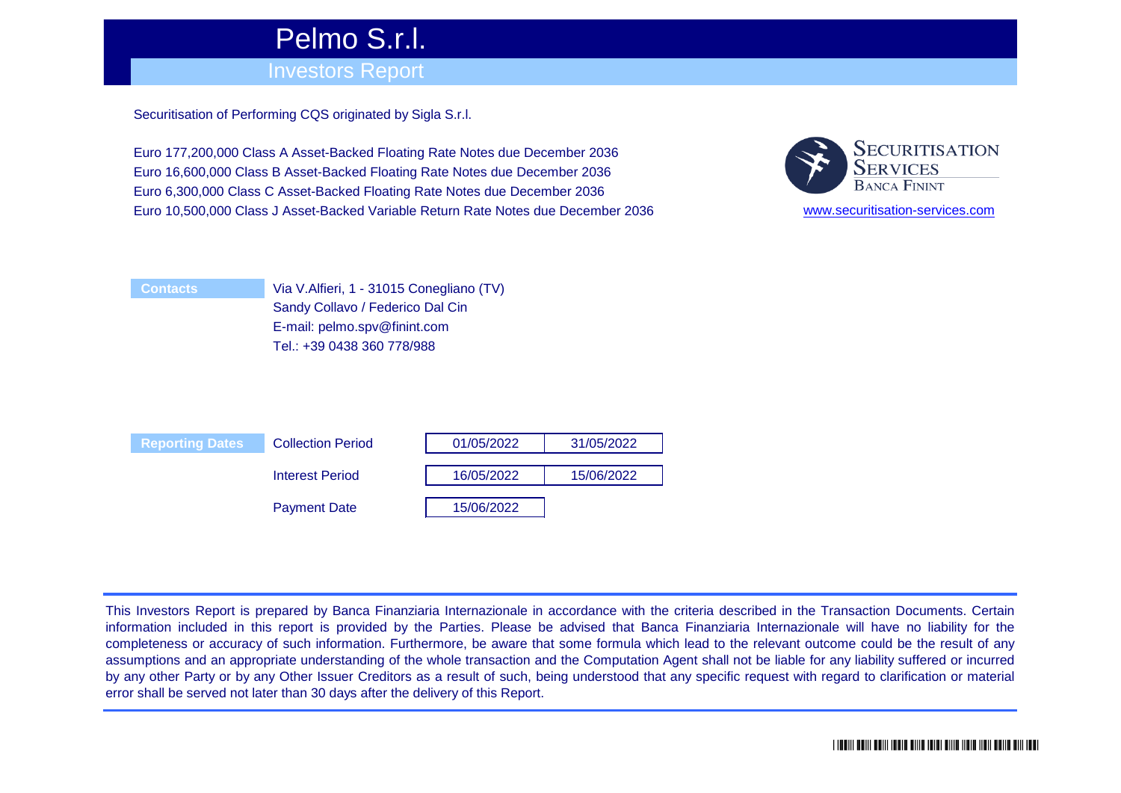# Pelmo S.r.l.

## Investors Report

Securitisation of Performing CQS originated by Sigla S.r.l.

Euro 177,200,000 Class A Asset-Backed Floating Rate Notes due December 2036 Euro 16,600,000 Class B Asset-Backed Floating Rate Notes due December 2036 Euro 6,300,000 Class C Asset-Backed Floating Rate Notes due December 2036 Euro 10,500,000 Class J Asset-Backed Variable Return Rate Notes due December 2036



[www.securitisati](http://www.securitisation-services.com/)on-services.com

| <b>Contacts</b> |
|-----------------|
|                 |
|                 |

Via V.Alfieri, 1 - 31015 Conegliano (TV) Sandy Collavo / Federico Dal Cin E-mail: pelmo.spv@finint.com Tel.: +39 0438 360 778/988



This Investors Report is prepared by Banca Finanziaria Internazionale in accordance with the criteria described in the Transaction Documents. Certain information included in this report is provided by the Parties. Please be advised that Banca Finanziaria Internazionale will have no liability for the completeness or accuracy of such information. Furthermore, be aware that some formula which lead to the relevant outcome could be the result of any assumptions and an appropriate understanding of the whole transaction and the Computation Agent shall not be liable for any liability suffered or incurred by any other Party or by any Other Issuer Creditors as a result of such, being understood that any specific request with regard to clarification or material error shall be served not later than 30 days after the delivery of this Report.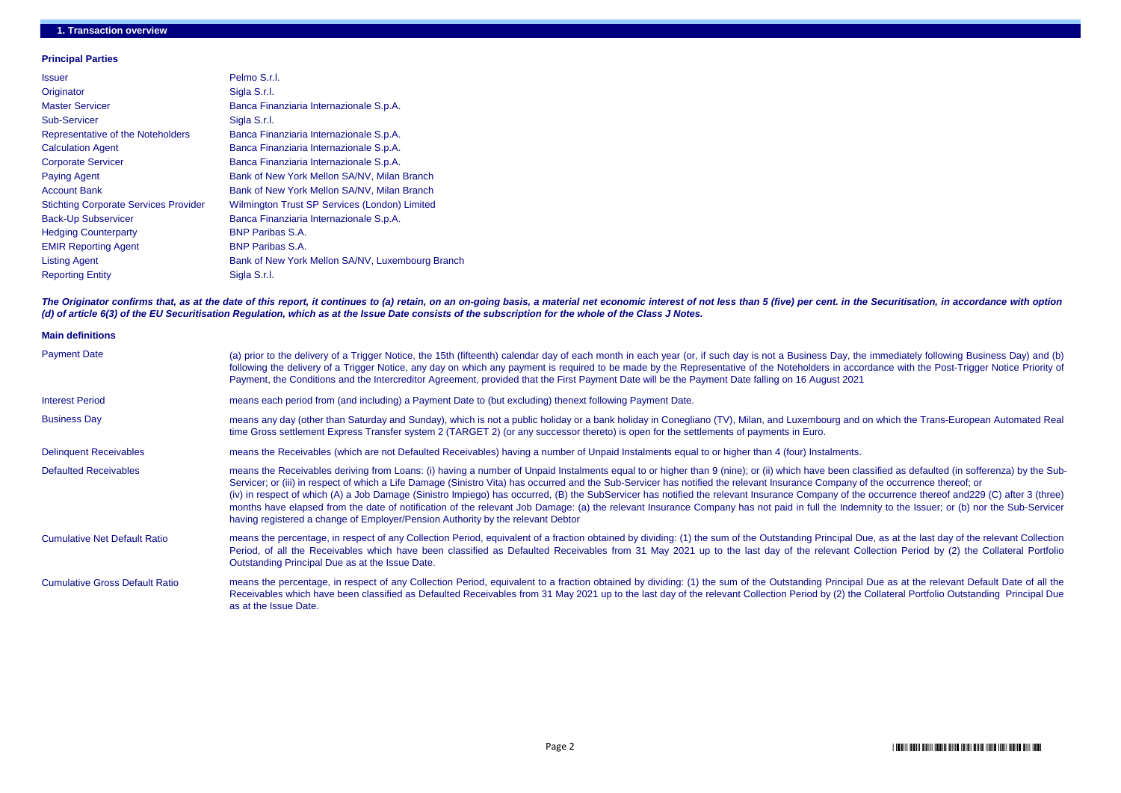#### **Principal Parties**

| <b>Issuer</b>                                | Pelmo S.r.l.                                     |
|----------------------------------------------|--------------------------------------------------|
| Originator                                   | Sigla S.r.l.                                     |
| <b>Master Servicer</b>                       | Banca Finanziaria Internazionale S.p.A.          |
| <b>Sub-Servicer</b>                          | Sigla S.r.l.                                     |
| Representative of the Noteholders            | Banca Finanziaria Internazionale S.p.A.          |
| <b>Calculation Agent</b>                     | Banca Finanziaria Internazionale S.p.A.          |
| <b>Corporate Servicer</b>                    | Banca Finanziaria Internazionale S.p.A.          |
| <b>Paying Agent</b>                          | Bank of New York Mellon SA/NV, Milan Branch      |
| <b>Account Bank</b>                          | Bank of New York Mellon SA/NV, Milan Branch      |
| <b>Stichting Corporate Services Provider</b> | Wilmington Trust SP Services (London) Limited    |
| <b>Back-Up Subservicer</b>                   | Banca Finanziaria Internazionale S.p.A.          |
| <b>Hedging Counterparty</b>                  | <b>BNP Paribas S.A.</b>                          |
| <b>EMIR Reporting Agent</b>                  | <b>BNP Paribas S.A.</b>                          |
| <b>Listing Agent</b>                         | Bank of New York Mellon SA/NV, Luxembourg Branch |
| <b>Reporting Entity</b>                      | Sigla S.r.l.                                     |

### **1. Transaction overview**

The Originator confirms that, as at the date of this report, it continues to (a) retain, on an on-going basis, a material net economic interest of not less than 5 (five) per cent. in the Securitisation, in accordance with *(d) of article 6(3) of the EU Securitisation Regulation, which as at the Issue Date consists of the subscription for the whole of the Class J Notes.*

| <b>Main definitions</b>               |                                                                                                                                                                                                                                                                                                                                                                                                                                                                                                                                                                                                                                                                                                                    |
|---------------------------------------|--------------------------------------------------------------------------------------------------------------------------------------------------------------------------------------------------------------------------------------------------------------------------------------------------------------------------------------------------------------------------------------------------------------------------------------------------------------------------------------------------------------------------------------------------------------------------------------------------------------------------------------------------------------------------------------------------------------------|
| <b>Payment Date</b>                   | (a) prior to the delivery of a Trigger Notice, the 15th (fifteenth) calendar day of each month in each year (or, if such day is not a Business Day, the in<br>following the delivery of a Trigger Notice, any day on which any payment is required to be made by the Representative of the Noteholders in accorda<br>Payment, the Conditions and the Intercreditor Agreement, provided that the First Payment Date will be the Payment Date falling on 16 August 2021                                                                                                                                                                                                                                              |
| <b>Interest Period</b>                | means each period from (and including) a Payment Date to (but excluding) thenext following Payment Date.                                                                                                                                                                                                                                                                                                                                                                                                                                                                                                                                                                                                           |
| <b>Business Day</b>                   | means any day (other than Saturday and Sunday), which is not a public holiday or a bank holiday in Conegliano (TV), Milan, and Luxembourg and on<br>time Gross settlement Express Transfer system 2 (TARGET 2) (or any successor thereto) is open for the settlements of payments in Euro.                                                                                                                                                                                                                                                                                                                                                                                                                         |
| <b>Delinquent Receivables</b>         | means the Receivables (which are not Defaulted Receivables) having a number of Unpaid Instalments equal to or higher than 4 (four) Instalments.                                                                                                                                                                                                                                                                                                                                                                                                                                                                                                                                                                    |
| <b>Defaulted Receivables</b>          | means the Receivables deriving from Loans: (i) having a number of Unpaid Instalments equal to or higher than 9 (nine); or (ii) which have been class<br>Servicer; or (iii) in respect of which a Life Damage (Sinistro Vita) has occurred and the Sub-Servicer has notified the relevant Insurance Company of the<br>(iv) in respect of which (A) a Job Damage (Sinistro Impiego) has occurred, (B) the SubServicer has notified the relevant Insurance Company of the or<br>months have elapsed from the date of notification of the relevant Job Damage: (a) the relevant Insurance Company has not paid in full the Indemnit<br>having registered a change of Employer/Pension Authority by the relevant Debtor |
| <b>Cumulative Net Default Ratio</b>   | means the percentage, in respect of any Collection Period, equivalent of a fraction obtained by dividing: (1) the sum of the Outstanding Principal Due,<br>Period, of all the Receivables which have been classified as Defaulted Receivables from 31 May 2021 up to the last day of the relevant Colle<br>Outstanding Principal Due as at the Issue Date.                                                                                                                                                                                                                                                                                                                                                         |
| <b>Cumulative Gross Default Ratio</b> | means the percentage, in respect of any Collection Period, equivalent to a fraction obtained by dividing: (1) the sum of the Outstanding Principal Du<br>Receivables which have been classified as Defaulted Receivables from 31 May 2021 up to the last day of the relevant Collection Period by (2) the Co<br>as at the Issue Date.                                                                                                                                                                                                                                                                                                                                                                              |

mmediately following Business Day) and (b) ance with the Post-Trigger Notice Priority of

which the Trans-European Automated Real

sified as defaulted (in sofferenza) by the Subhe occurrence thereof; or occurrence thereof and229 (C) after 3 (three) ity to the Issuer; or (b) nor the Sub-Servicer

, as at the last day of the relevant Collection ection Period by (2) the Collateral Portfolio

ue as at the relevant Default Date of all the **Decetal Portfolio Outstanding Principal Due**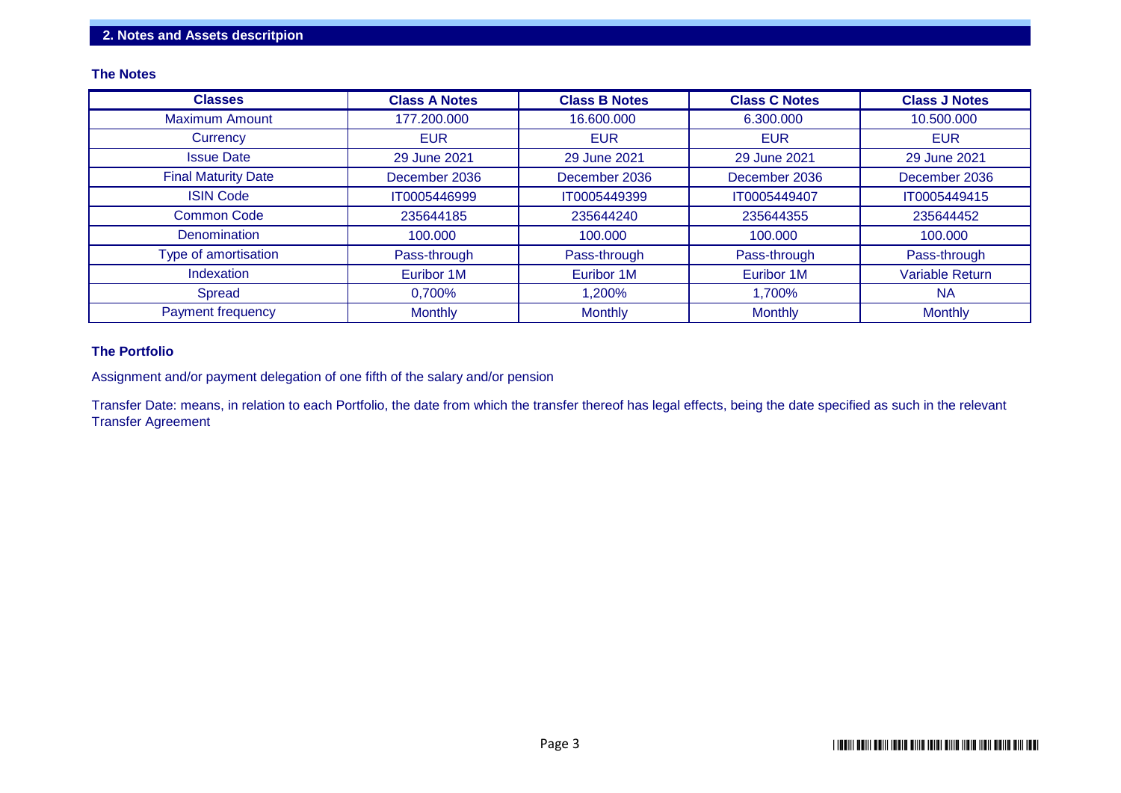#### **The Notes**

| <b>Classes</b>             | <b>Class A Notes</b> | <b>Class B Notes</b> | <b>Class C Notes</b> | <b>Class J Notes</b>   |
|----------------------------|----------------------|----------------------|----------------------|------------------------|
| <b>Maximum Amount</b>      | 177.200.000          | 16.600.000           | 6.300.000            | 10.500.000             |
| Currency                   | <b>EUR</b>           | <b>EUR</b>           | <b>EUR</b>           | <b>EUR</b>             |
| <b>Issue Date</b>          | 29 June 2021         | 29 June 2021         | 29 June 2021         | 29 June 2021           |
| <b>Final Maturity Date</b> | December 2036        | December 2036        | December 2036        | December 2036          |
| <b>ISIN Code</b>           | IT0005446999         | IT0005449399         | IT0005449407         | IT0005449415           |
| <b>Common Code</b>         | 235644185            | 235644240            | 235644355            | 235644452              |
| Denomination               | 100.000              | 100.000              | 100.000              | 100.000                |
| Type of amortisation       | Pass-through         | Pass-through         | Pass-through         | Pass-through           |
| Indexation                 | Euribor 1M           | Euribor 1M           | Euribor 1M           | <b>Variable Return</b> |
| Spread                     | 0,700%               | 1,200%               | 1,700%               | <b>NA</b>              |
| <b>Payment frequency</b>   | <b>Monthly</b>       | <b>Monthly</b>       | <b>Monthly</b>       | <b>Monthly</b>         |

#### **The Portfolio**

Assignment and/or payment delegation of one fifth of the salary and/or pension

Transfer Date: means, in relation to each Portfolio, the date from which the transfer thereof has legal effects, being the date specified as such in the relevant Transfer Agreement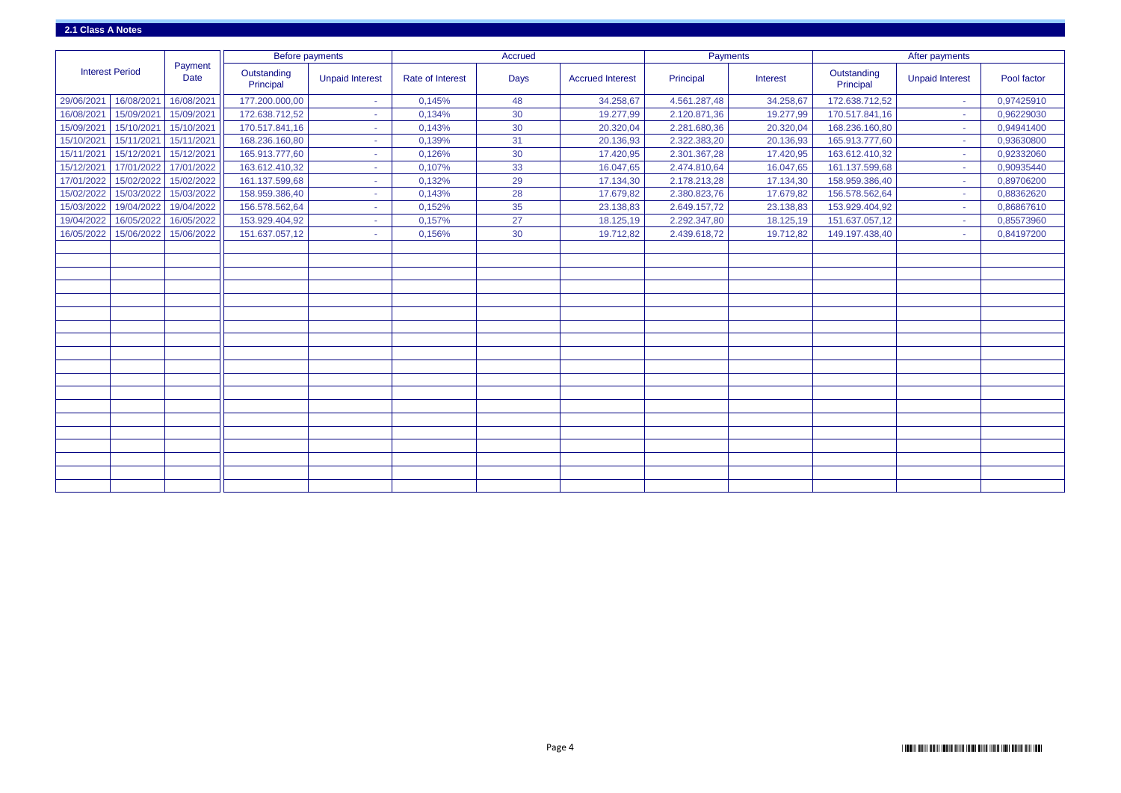|                        |            |                        | <b>Before payments</b>   |                        |                         | <b>Accrued</b> |                         | Payments     |           | After payments           |                        |             |  |
|------------------------|------------|------------------------|--------------------------|------------------------|-------------------------|----------------|-------------------------|--------------|-----------|--------------------------|------------------------|-------------|--|
| <b>Interest Period</b> |            | Payment<br><b>Date</b> | Outstanding<br>Principal | <b>Unpaid Interest</b> | <b>Rate of Interest</b> | <b>Days</b>    | <b>Accrued Interest</b> | Principal    | Interest  | Outstanding<br>Principal | <b>Unpaid Interest</b> | Pool factor |  |
| 29/06/2021             | 16/08/2021 | 16/08/2021             | 177.200.000,00           |                        | 0,145%                  | 48             | 34.258,67               | 4.561.287,48 | 34.258,67 | 172.638.712,52           | the c                  | 0,97425910  |  |
| 16/08/2021             | 15/09/2021 | 15/09/2021             | 172.638.712,52           |                        | 0,134%                  | 30             | 19.277,99               | 2.120.871,36 | 19.277,99 | 170.517.841,16           | a.                     | 0,96229030  |  |
| 15/09/2021             | 15/10/2021 | 15/10/2021             | 170.517.841,16           |                        | 0,143%                  | 30             | 20.320,04               | 2.281.680,36 | 20.320,04 | 168.236.160,80           | $\sim$                 | 0,94941400  |  |
| 15/10/2021             | 15/11/2021 | 15/11/2021             | 168.236.160,80           | $\sim$                 | 0,139%                  | 31             | 20.136,93               | 2.322.383,20 | 20.136,93 | 165.913.777,60           | the c                  | 0,93630800  |  |
| 15/11/2021             | 15/12/2021 | 15/12/2021             | 165.913.777,60           |                        | 0,126%                  | 30             | 17.420,95               | 2.301.367,28 | 17.420,95 | 163.612.410,32           |                        | 0,92332060  |  |
| 15/12/2021             | 17/01/2022 | 17/01/2022             | 163.612.410,32           |                        | 0,107%                  | 33             | 16.047,65               | 2.474.810,64 | 16.047,65 | 161.137.599,68           | a.                     | 0,90935440  |  |
| 17/01/2022             | 15/02/2022 | 15/02/2022             | 161.137.599,68           |                        | 0,132%                  | 29             | 17.134,30               | 2.178.213,28 | 17.134,30 | 158.959.386,40           | <b>Section</b>         | 0,89706200  |  |
| 15/02/2022             | 15/03/2022 | 15/03/2022             | 158.959.386,40           |                        | 0,143%                  | 28             | 17.679,82               | 2.380.823,76 | 17.679,82 | 156.578.562,64           | $\sim$                 | 0,88362620  |  |
| 15/03/2022             | 19/04/2022 | 19/04/2022             | 156.578.562,64           |                        | 0,152%                  | 35             | 23.138,83               | 2.649.157,72 | 23.138,83 | 153.929.404,92           | $\sim$                 | 0,86867610  |  |
| 19/04/2022             | 16/05/2022 | 16/05/2022             | 153.929.404,92           |                        | 0,157%                  | 27             | 18.125,19               | 2.292.347,80 | 18.125,19 | 151.637.057,12           |                        | 0,85573960  |  |
| 16/05/2022             | 15/06/2022 | 15/06/2022             | 151.637.057,12           | ×.                     | 0,156%                  | 30             | 19.712,82               | 2.439.618,72 | 19.712,82 | 149.197.438,40           | a.                     | 0,84197200  |  |
|                        |            |                        |                          |                        |                         |                |                         |              |           |                          |                        |             |  |
|                        |            |                        |                          |                        |                         |                |                         |              |           |                          |                        |             |  |
|                        |            |                        |                          |                        |                         |                |                         |              |           |                          |                        |             |  |
|                        |            |                        |                          |                        |                         |                |                         |              |           |                          |                        |             |  |
|                        |            |                        |                          |                        |                         |                |                         |              |           |                          |                        |             |  |
|                        |            |                        |                          |                        |                         |                |                         |              |           |                          |                        |             |  |
|                        |            |                        |                          |                        |                         |                |                         |              |           |                          |                        |             |  |
|                        |            |                        |                          |                        |                         |                |                         |              |           |                          |                        |             |  |
|                        |            |                        |                          |                        |                         |                |                         |              |           |                          |                        |             |  |
|                        |            |                        |                          |                        |                         |                |                         |              |           |                          |                        |             |  |
|                        |            |                        |                          |                        |                         |                |                         |              |           |                          |                        |             |  |
|                        |            |                        |                          |                        |                         |                |                         |              |           |                          |                        |             |  |
|                        |            |                        |                          |                        |                         |                |                         |              |           |                          |                        |             |  |
|                        |            |                        |                          |                        |                         |                |                         |              |           |                          |                        |             |  |
|                        |            |                        |                          |                        |                         |                |                         |              |           |                          |                        |             |  |
|                        |            |                        |                          |                        |                         |                |                         |              |           |                          |                        |             |  |
|                        |            |                        |                          |                        |                         |                |                         |              |           |                          |                        |             |  |
|                        |            |                        |                          |                        |                         |                |                         |              |           |                          |                        |             |  |
|                        |            |                        |                          |                        |                         |                |                         |              |           |                          |                        |             |  |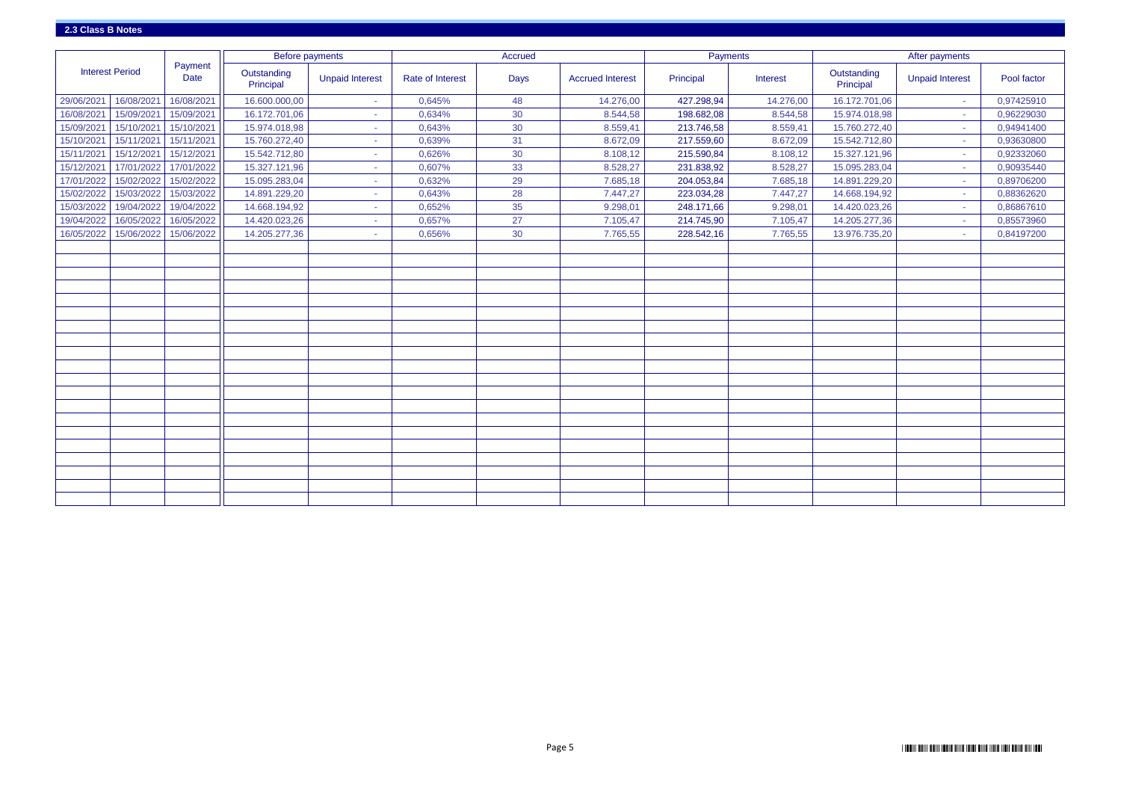|                        |            |                        | <b>Before payments</b>   |                        |                  | <b>Accrued</b> |                         | Payments   |           |                          | After payments         |             |
|------------------------|------------|------------------------|--------------------------|------------------------|------------------|----------------|-------------------------|------------|-----------|--------------------------|------------------------|-------------|
| <b>Interest Period</b> |            | Payment<br><b>Date</b> | Outstanding<br>Principal | <b>Unpaid Interest</b> | Rate of Interest | <b>Days</b>    | <b>Accrued Interest</b> | Principal  | Interest  | Outstanding<br>Principal | <b>Unpaid Interest</b> | Pool factor |
| 29/06/2021             | 16/08/2021 | 16/08/2021             | 16.600.000,00            |                        | 0,645%           | 48             | 14.276,00               | 427.298,94 | 14.276,00 | 16.172.701,06            | a.                     | 0,97425910  |
| 16/08/2021             | 15/09/2021 | 15/09/2021             | 16.172.701,06            |                        | 0,634%           | 30             | 8.544,58                | 198.682,08 | 8.544,58  | 15.974.018,98            |                        | 0,96229030  |
| 15/09/2021             | 15/10/2021 | 15/10/2021             | 15.974.018,98            |                        | 0,643%           | 30             | 8.559,41                | 213.746,58 | 8.559,41  | 15.760.272,40            | $\sim$                 | 0,94941400  |
| 15/10/2021             | 15/11/2021 | 15/11/2021             | 15.760.272,40            | ×.                     | 0,639%           | 31             | 8.672,09                | 217.559,60 | 8.672,09  | 15.542.712,80            | $\sim$                 | 0,93630800  |
| 15/11/2021             | 15/12/2021 | 15/12/2021             | 15.542.712,80            | $\sim$                 | 0,626%           | 30             | 8.108,12                | 215.590,84 | 8.108,12  | 15.327.121,96            | A.                     | 0,92332060  |
| 15/12/2021             | 17/01/2022 | 17/01/2022             | 15.327.121,96            |                        | 0,607%           | 33             | 8.528,27                | 231.838,92 | 8.528,27  | 15.095.283,04            | $\sim$                 | 0,90935440  |
| 17/01/2022             | 15/02/2022 | 15/02/2022             | 15.095.283,04            |                        | 0,632%           | 29             | 7.685,18                | 204.053,84 | 7.685,18  | 14.891.229,20            | ×.                     | 0,89706200  |
| 15/02/2022             | 15/03/2022 | 15/03/2022             | 14.891.229,20            |                        | 0,643%           | 28             | 7.447,27                | 223.034,28 | 7.447,27  | 14.668.194,92            | <b>Section</b>         | 0,88362620  |
| 15/03/2022             | 19/04/2022 | 19/04/2022             | 14.668.194,92            |                        | 0,652%           | 35             | 9.298,01                | 248.171,66 | 9.298,01  | 14.420.023,26            |                        | 0,86867610  |
| 19/04/2022             | 16/05/2022 | 16/05/2022             | 14.420.023,26            |                        | 0,657%           | 27             | 7.105,47                | 214.745,90 | 7.105,47  | 14.205.277,36            |                        | 0,85573960  |
| 16/05/2022             | 15/06/2022 | 15/06/2022             | 14.205.277,36            | $\sim$                 | 0,656%           | 30             | 7.765,55                | 228.542,16 | 7.765,55  | 13.976.735,20            | a.                     | 0,84197200  |
|                        |            |                        |                          |                        |                  |                |                         |            |           |                          |                        |             |
|                        |            |                        |                          |                        |                  |                |                         |            |           |                          |                        |             |
|                        |            |                        |                          |                        |                  |                |                         |            |           |                          |                        |             |
|                        |            |                        |                          |                        |                  |                |                         |            |           |                          |                        |             |
|                        |            |                        |                          |                        |                  |                |                         |            |           |                          |                        |             |
|                        |            |                        |                          |                        |                  |                |                         |            |           |                          |                        |             |
|                        |            |                        |                          |                        |                  |                |                         |            |           |                          |                        |             |
|                        |            |                        |                          |                        |                  |                |                         |            |           |                          |                        |             |
|                        |            |                        |                          |                        |                  |                |                         |            |           |                          |                        |             |
|                        |            |                        |                          |                        |                  |                |                         |            |           |                          |                        |             |
|                        |            |                        |                          |                        |                  |                |                         |            |           |                          |                        |             |
|                        |            |                        |                          |                        |                  |                |                         |            |           |                          |                        |             |
|                        |            |                        |                          |                        |                  |                |                         |            |           |                          |                        |             |
|                        |            |                        |                          |                        |                  |                |                         |            |           |                          |                        |             |
|                        |            |                        |                          |                        |                  |                |                         |            |           |                          |                        |             |
|                        |            |                        |                          |                        |                  |                |                         |            |           |                          |                        |             |
|                        |            |                        |                          |                        |                  |                |                         |            |           |                          |                        |             |
|                        |            |                        |                          |                        |                  |                |                         |            |           |                          |                        |             |
|                        |            |                        |                          |                        |                  |                |                         |            |           |                          |                        |             |
|                        |            |                        |                          |                        |                  |                |                         |            |           |                          |                        |             |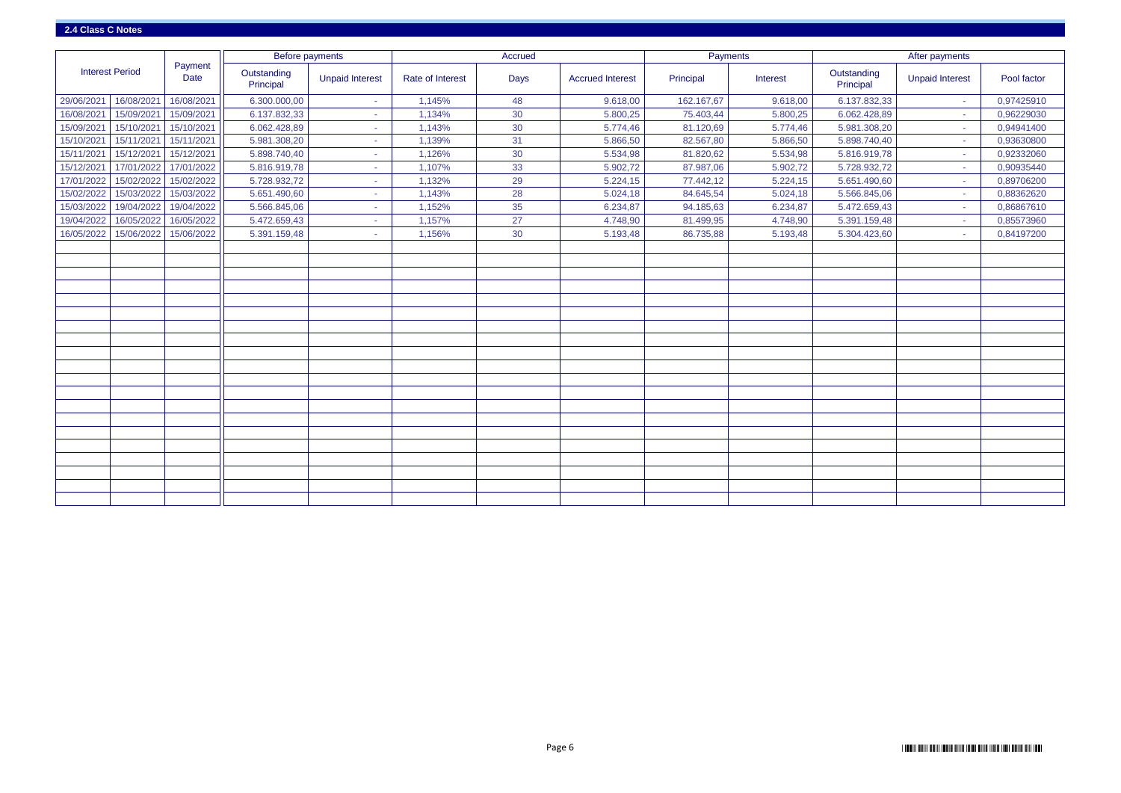|            |                        |                        |                          | <b>Before payments</b> |                  | Accrued     |                         | Payments   |          |                          | After payments         |             |
|------------|------------------------|------------------------|--------------------------|------------------------|------------------|-------------|-------------------------|------------|----------|--------------------------|------------------------|-------------|
|            | <b>Interest Period</b> | Payment<br><b>Date</b> | Outstanding<br>Principal | <b>Unpaid Interest</b> | Rate of Interest | <b>Days</b> | <b>Accrued Interest</b> | Principal  | Interest | Outstanding<br>Principal | <b>Unpaid Interest</b> | Pool factor |
| 29/06/2021 | 16/08/2021             | 16/08/2021             | 6.300.000,00             |                        | 1,145%           | 48          | 9.618,00                | 162.167,67 | 9.618,00 | 6.137.832,33             | $\sim$                 | 0,97425910  |
| 16/08/2021 | 15/09/2021             | 15/09/2021             | 6.137.832,33             |                        | 1,134%           | 30          | 5.800,25                | 75.403,44  | 5.800,25 | 6.062.428,89             |                        | 0,96229030  |
| 15/09/2021 | 15/10/2021             | 15/10/2021             | 6.062.428,89             |                        | 1,143%           | 30          | 5.774,46                | 81.120,69  | 5.774,46 | 5.981.308,20             | $\sim$                 | 0,94941400  |
| 15/10/2021 | 15/11/2021             | 15/11/2021             | 5.981.308,20             | ÷                      | 1,139%           | 31          | 5.866,50                | 82.567,80  | 5.866,50 | 5.898.740,40             | $\sim$                 | 0,93630800  |
| 15/11/2021 | 15/12/2021             | 15/12/2021             | 5.898.740,40             | $\sim$                 | 1,126%           | 30          | 5.534,98                | 81.820,62  | 5.534,98 | 5.816.919,78             | $\sim$                 | 0,92332060  |
| 15/12/2021 | 17/01/2022             | 17/01/2022             | 5.816.919,78             |                        | 1,107%           | 33          | 5.902,72                | 87.987,06  | 5.902,72 | 5.728.932,72             | $\sim$                 | 0,90935440  |
| 17/01/2022 | 15/02/2022             | 15/02/2022             | 5.728.932,72             |                        | 1,132%           | 29          | 5.224,15                | 77.442,12  | 5.224,15 | 5.651.490,60             | $\sim$                 | 0,89706200  |
| 15/02/2022 | 15/03/2022             | 15/03/2022             | 5.651.490,60             |                        | 1,143%           | 28          | 5.024,18                | 84.645,54  | 5.024,18 | 5.566.845,06             | <b>COL</b>             | 0,88362620  |
| 15/03/2022 | 19/04/2022             | 19/04/2022             | 5.566.845,06             |                        | 1,152%           | 35          | 6.234,87                | 94.185,63  | 6.234,87 | 5.472.659,43             |                        | 0,86867610  |
| 19/04/2022 | 16/05/2022             | 16/05/2022             | 5.472.659,43             |                        | 1,157%           | 27          | 4.748,90                | 81.499,95  | 4.748,90 | 5.391.159,48             |                        | 0,85573960  |
| 16/05/2022 | 15/06/2022             | 15/06/2022             | 5.391.159,48             |                        | 1,156%           | 30          | 5.193,48                | 86.735,88  | 5.193,48 | 5.304.423,60             | $\sim$                 | 0,84197200  |
|            |                        |                        |                          |                        |                  |             |                         |            |          |                          |                        |             |
|            |                        |                        |                          |                        |                  |             |                         |            |          |                          |                        |             |
|            |                        |                        |                          |                        |                  |             |                         |            |          |                          |                        |             |
|            |                        |                        |                          |                        |                  |             |                         |            |          |                          |                        |             |
|            |                        |                        |                          |                        |                  |             |                         |            |          |                          |                        |             |
|            |                        |                        |                          |                        |                  |             |                         |            |          |                          |                        |             |
|            |                        |                        |                          |                        |                  |             |                         |            |          |                          |                        |             |
|            |                        |                        |                          |                        |                  |             |                         |            |          |                          |                        |             |
|            |                        |                        |                          |                        |                  |             |                         |            |          |                          |                        |             |
|            |                        |                        |                          |                        |                  |             |                         |            |          |                          |                        |             |
|            |                        |                        |                          |                        |                  |             |                         |            |          |                          |                        |             |
|            |                        |                        |                          |                        |                  |             |                         |            |          |                          |                        |             |
|            |                        |                        |                          |                        |                  |             |                         |            |          |                          |                        |             |
|            |                        |                        |                          |                        |                  |             |                         |            |          |                          |                        |             |
|            |                        |                        |                          |                        |                  |             |                         |            |          |                          |                        |             |
|            |                        |                        |                          |                        |                  |             |                         |            |          |                          |                        |             |
|            |                        |                        |                          |                        |                  |             |                         |            |          |                          |                        |             |
|            |                        |                        |                          |                        |                  |             |                         |            |          |                          |                        |             |
|            |                        |                        |                          |                        |                  |             |                         |            |          |                          |                        |             |
|            |                        |                        |                          |                        |                  |             |                         |            |          |                          |                        |             |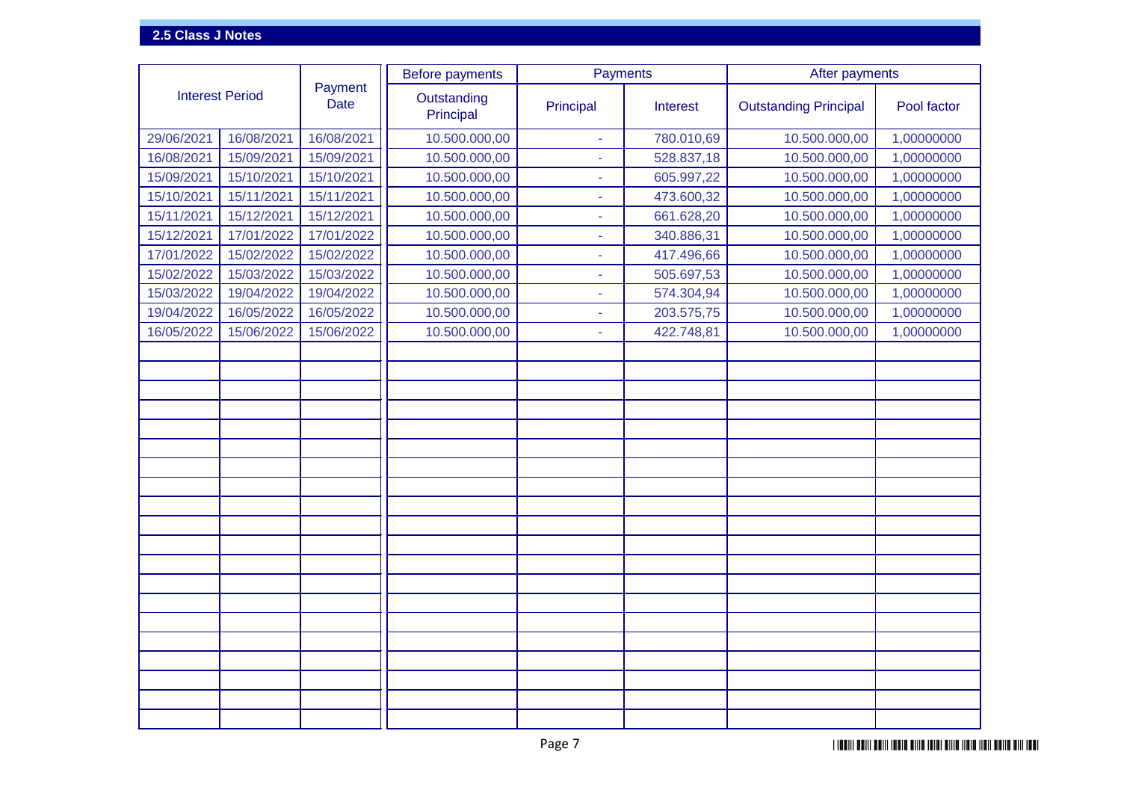|                        |            |                        | <b>Before payments</b>   | Payments                 |            | After payments               |             |  |  |
|------------------------|------------|------------------------|--------------------------|--------------------------|------------|------------------------------|-------------|--|--|
| <b>Interest Period</b> |            | Payment<br><b>Date</b> | Outstanding<br>Principal | Principal                | Interest   | <b>Outstanding Principal</b> | Pool factor |  |  |
| 29/06/2021             | 16/08/2021 | 16/08/2021             | 10.500.000,00            | $\sim$                   | 780.010,69 | 10.500.000,00                | 1,00000000  |  |  |
| 16/08/2021             | 15/09/2021 | 15/09/2021             | 10.500.000,00            |                          | 528.837,18 | 10.500.000,00                | 1,00000000  |  |  |
| 15/09/2021             | 15/10/2021 | 15/10/2021             | 10.500.000,00            |                          | 605.997,22 | 10.500.000,00                | 1,00000000  |  |  |
| 15/10/2021             | 15/11/2021 | 15/11/2021             | 10.500.000,00            |                          | 473.600,32 | 10.500.000,00                | 1,00000000  |  |  |
| 15/11/2021             | 15/12/2021 | 15/12/2021             | 10.500.000,00            | ٠                        | 661.628,20 | 10.500.000,00                | 1,00000000  |  |  |
| 15/12/2021             | 17/01/2022 | 17/01/2022             | 10.500.000,00            | $\overline{\phantom{a}}$ | 340.886,31 | 10.500.000,00                | 1,00000000  |  |  |
| 17/01/2022             | 15/02/2022 | 15/02/2022             | 10.500.000,00            |                          | 417.496,66 | 10.500.000,00                | 1,00000000  |  |  |
| 15/02/2022             | 15/03/2022 | 15/03/2022             | 10.500.000,00            | $\overline{\phantom{a}}$ | 505.697,53 | 10.500.000,00                | 1,00000000  |  |  |
| 15/03/2022             | 19/04/2022 | 19/04/2022             | 10.500.000,00            |                          | 574.304,94 | 10.500.000,00                | 1,00000000  |  |  |
| 19/04/2022             | 16/05/2022 | 16/05/2022             | 10.500.000,00            |                          | 203.575,75 | 10.500.000,00                | 1,00000000  |  |  |
| 16/05/2022             | 15/06/2022 | 15/06/2022             | 10.500.000,00            | $\sim$                   | 422.748,81 | 10.500.000,00                | 1,00000000  |  |  |
|                        |            |                        |                          |                          |            |                              |             |  |  |
|                        |            |                        |                          |                          |            |                              |             |  |  |
|                        |            |                        |                          |                          |            |                              |             |  |  |
|                        |            |                        |                          |                          |            |                              |             |  |  |
|                        |            |                        |                          |                          |            |                              |             |  |  |
|                        |            |                        |                          |                          |            |                              |             |  |  |
|                        |            |                        |                          |                          |            |                              |             |  |  |
|                        |            |                        |                          |                          |            |                              |             |  |  |
|                        |            |                        |                          |                          |            |                              |             |  |  |
|                        |            |                        |                          |                          |            |                              |             |  |  |
|                        |            |                        |                          |                          |            |                              |             |  |  |
|                        |            |                        |                          |                          |            |                              |             |  |  |
|                        |            |                        |                          |                          |            |                              |             |  |  |
|                        |            |                        |                          |                          |            |                              |             |  |  |
|                        |            |                        |                          |                          |            |                              |             |  |  |
|                        |            |                        |                          |                          |            |                              |             |  |  |
|                        |            |                        |                          |                          |            |                              |             |  |  |
|                        |            |                        |                          |                          |            |                              |             |  |  |
|                        |            |                        |                          |                          |            |                              |             |  |  |
|                        |            |                        |                          |                          |            |                              |             |  |  |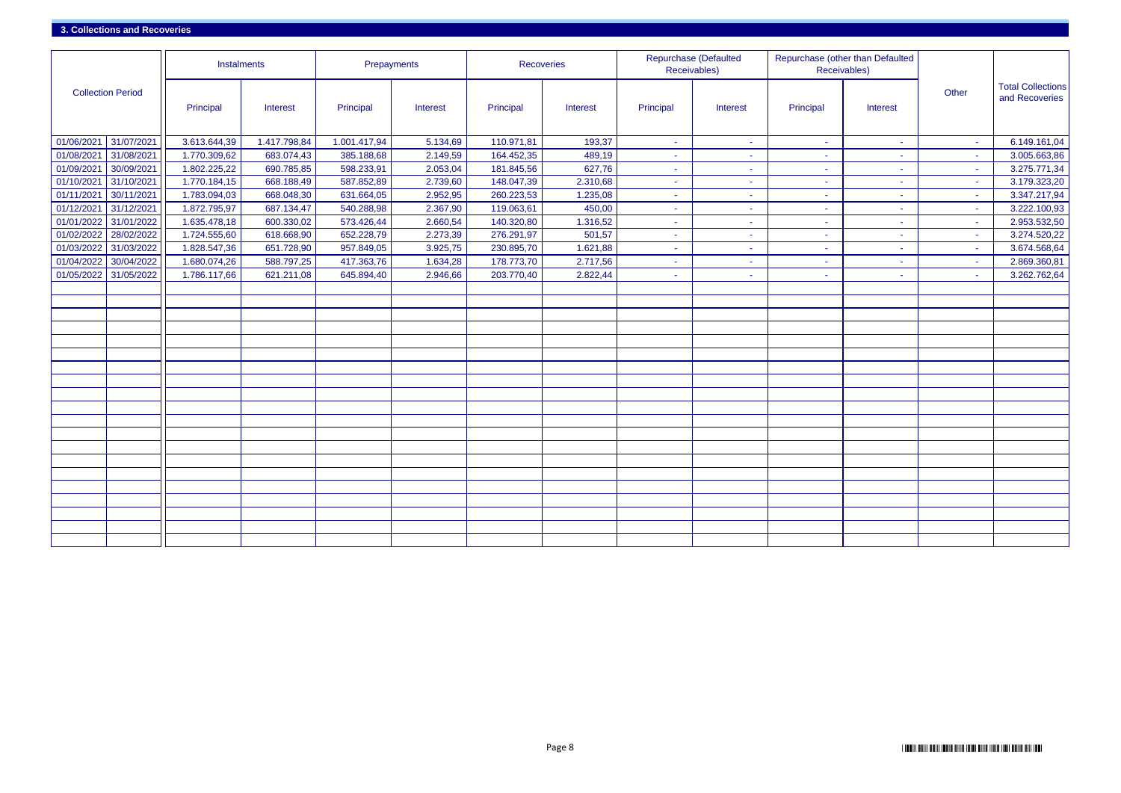|                          |            | Instalments  |              | Prepayments  |          | <b>Recoveries</b> |                 |           | <b>Repurchase (Defaulted</b><br>Receivables) | Receivables) | Repurchase (other than Defaulted |        |                                            |
|--------------------------|------------|--------------|--------------|--------------|----------|-------------------|-----------------|-----------|----------------------------------------------|--------------|----------------------------------|--------|--------------------------------------------|
| <b>Collection Period</b> |            | Principal    | Interest     | Principal    | Interest | Principal         | <b>Interest</b> | Principal | Interest                                     | Principal    | Interest                         | Other  | <b>Total Collections</b><br>and Recoveries |
| 01/06/2021               | 31/07/2021 | 3.613.644,39 | 1.417.798,84 | 1.001.417,94 | 5.134,69 | 110.971,81        | 193,37          | $\sim$    | $\blacksquare$                               | $\sim$       | $\sim$                           | $\sim$ | 6.149.161,04                               |
| 01/08/202                | 31/08/2021 | 1.770.309,62 | 683.074,43   | 385.188,68   | 2.149,59 | 164.452,35        | 489,19          | <b>м.</b> | $\blacksquare$                               | ж.,          | $\sim$                           | $\sim$ | 3.005.663,86                               |
| 01/09/202                | 30/09/2021 | 1.802.225,22 | 690.785,85   | 598.233,91   | 2.053,04 | 181.845,56        | 627,76          | <b>м.</b> | ٠                                            | $\sim$       | ٠                                | $\sim$ | 3.275.771,34                               |
| 01/10/202                | 31/10/2021 | 1.770.184,15 | 668.188,49   | 587.852,89   | 2.739,60 | 148.047,39        | 2.310,68        | ۰.        | ÷                                            | ۰.           | $\sim$                           | $\sim$ | 3.179.323,20                               |
| 01/11/202                | 30/11/2021 | 1.783.094,03 | 668.048,30   | 631.664,05   | 2.952,95 | 260.223,53        | 1.235,08        | on the    | $\sim$                                       | ×.           | $\sim$                           | $\sim$ | 3.347.217,94                               |
| 01/12/2021               | 31/12/2021 | 1.872.795,97 | 687.134,47   | 540.288,98   | 2.367,90 | 119.063,61        | 450,00          | ÷         | $\sim$                                       | $\sim$       | $\sim$                           | $\sim$ | 3.222.100,93                               |
| 01/01/202                | 31/01/2022 | 1.635.478,18 | 600.330,02   | 573.426,44   | 2.660,54 | 140.320,80        | 1.316,52        | ÷.        | $\blacksquare$                               | ÷            | $\sim$                           | $\sim$ | 2.953.532,50                               |
| 01/02/2022               | 28/02/2022 | 1.724.555,60 | 618.668,90   | 652.228,79   | 2.273,39 | 276.291,97        | 501,57          | ÷         | $\sim$                                       | $\sim$       | $\sim$                           | $\sim$ | 3.274.520,22                               |
| 01/03/2022               | 31/03/2022 | 1.828.547,36 | 651.728,90   | 957.849,05   | 3.925,75 | 230.895,70        | 1.621,88        | ÷         | ÷                                            | ÷            | $\sim$                           | $\sim$ | 3.674.568,64                               |
| 01/04/2022               | 30/04/2022 | 1.680.074,26 | 588.797,25   | 417.363,76   | 1.634,28 | 178.773,70        | 2.717,56        | н.        | $\sim$                                       | $\sim$       | $\sim$                           | $\sim$ | 2.869.360,81                               |
| 01/05/2022               | 31/05/2022 | 1.786.117,66 | 621.211,08   | 645.894,40   | 2.946,66 | 203.770,40        | 2.822,44        | <b>м.</b> | $\sim$                                       | $\sim$       | $\sim$                           | $\sim$ | 3.262.762,64                               |
|                          |            |              |              |              |          |                   |                 |           |                                              |              |                                  |        |                                            |
|                          |            |              |              |              |          |                   |                 |           |                                              |              |                                  |        |                                            |
|                          |            |              |              |              |          |                   |                 |           |                                              |              |                                  |        |                                            |
|                          |            |              |              |              |          |                   |                 |           |                                              |              |                                  |        |                                            |
|                          |            |              |              |              |          |                   |                 |           |                                              |              |                                  |        |                                            |
|                          |            |              |              |              |          |                   |                 |           |                                              |              |                                  |        |                                            |
|                          |            |              |              |              |          |                   |                 |           |                                              |              |                                  |        |                                            |
|                          |            |              |              |              |          |                   |                 |           |                                              |              |                                  |        |                                            |
|                          |            |              |              |              |          |                   |                 |           |                                              |              |                                  |        |                                            |
|                          |            |              |              |              |          |                   |                 |           |                                              |              |                                  |        |                                            |
|                          |            |              |              |              |          |                   |                 |           |                                              |              |                                  |        |                                            |
|                          |            |              |              |              |          |                   |                 |           |                                              |              |                                  |        |                                            |
|                          |            |              |              |              |          |                   |                 |           |                                              |              |                                  |        |                                            |
|                          |            |              |              |              |          |                   |                 |           |                                              |              |                                  |        |                                            |
|                          |            |              |              |              |          |                   |                 |           |                                              |              |                                  |        |                                            |
|                          |            |              |              |              |          |                   |                 |           |                                              |              |                                  |        |                                            |
|                          |            |              |              |              |          |                   |                 |           |                                              |              |                                  |        |                                            |
|                          |            |              |              |              |          |                   |                 |           |                                              |              |                                  |        |                                            |
|                          |            |              |              |              |          |                   |                 |           |                                              |              |                                  |        |                                            |
|                          |            |              |              |              |          |                   |                 |           |                                              |              |                                  |        |                                            |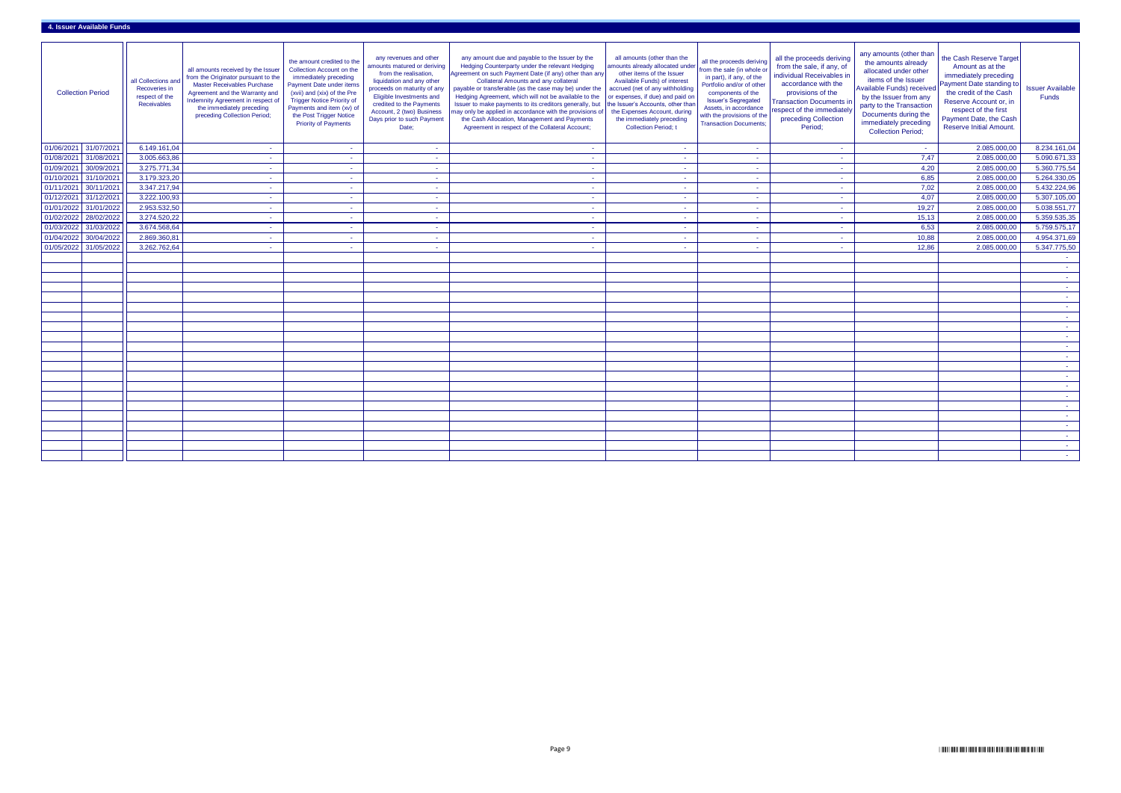|            | <b>Collection Period</b> | all Collections and<br>Recoveries in<br>respect of the<br>Receivables | all amounts received by the Issuer<br>from the Originator pursuant to the<br><b>Master Receivables Purchase</b><br>Agreement and the Warranty and<br>Indemnity Agreement in respect of<br>the immediately preceding<br>preceding Collection Period; | the amount credited to the<br>Collection Account on the<br>immediately preceding<br>Payment Date under items<br>(xvii) and (xix) of the Pre<br><b>Trigger Notice Priority of</b><br>Payments and item (xv) of<br>the Post Trigger Notice<br><b>Priority of Payments</b> | any revenues and other<br>amounts matured or deriving<br>from the realisation,<br>liquidation and any other<br>proceeds on maturity of any<br>Eligible Investments and<br>credited to the Payments<br>Account, 2 (two) Business<br>Days prior to such Payment<br>Date; | any amount due and payable to the Issuer by the<br>Hedging Counterparty under the relevant Hedging<br>Agreement on such Payment Date (if any) other than any<br><b>Collateral Amounts and any collateral</b><br>payable or transferable (as the case may be) under the<br>Hedging Agreement, which will not be available to the<br>Issuer to make payments to its creditors generally, but<br>may only be applied in accordance with the provisions of<br>the Cash Allocation, Management and Payments<br>Agreement in respect of the Collateral Account; | all amounts (other than the<br>amounts already allocated unde<br>other items of the Issuer<br>Available Funds) of interest<br>accrued (net of any withholding<br>or expenses, if due) and paid or<br>the Issuer's Accounts, other than<br>the Expenses Account, during<br>the immediately preceding<br><b>Collection Period; t</b> | all the proceeds deriving<br>from the sale (in whole o<br>in part), if any, of the<br>Portfolio and/or of other<br>components of the<br><b>Issuer's Segregated</b><br>Assets, in accordance<br>with the provisions of the<br><b>Transaction Documents:</b> | all the proceeds deriving<br>from the sale, if any, of<br>individual Receivables in<br>accordance with the<br>provisions of the<br><b>Transaction Documents i</b><br>respect of the immediately<br>preceding Collection<br>Period; | any amounts (other than<br>the amounts already<br>allocated under other<br>items of the Issuer<br>Available Funds) received<br>by the Issuer from any<br>party to the Transaction<br>Documents during the<br>immediately preceding<br><b>Collection Period;</b> | the Cash Reserve Target<br>Amount as at the<br>immediately preceding<br>Payment Date standing to<br>the credit of the Cash<br>Reserve Account or, in<br>respect of the first<br>Payment Date, the Cash<br><b>Reserve Initial Amount.</b> | <b>Issuer Available</b><br>Funds |
|------------|--------------------------|-----------------------------------------------------------------------|-----------------------------------------------------------------------------------------------------------------------------------------------------------------------------------------------------------------------------------------------------|-------------------------------------------------------------------------------------------------------------------------------------------------------------------------------------------------------------------------------------------------------------------------|------------------------------------------------------------------------------------------------------------------------------------------------------------------------------------------------------------------------------------------------------------------------|-----------------------------------------------------------------------------------------------------------------------------------------------------------------------------------------------------------------------------------------------------------------------------------------------------------------------------------------------------------------------------------------------------------------------------------------------------------------------------------------------------------------------------------------------------------|------------------------------------------------------------------------------------------------------------------------------------------------------------------------------------------------------------------------------------------------------------------------------------------------------------------------------------|------------------------------------------------------------------------------------------------------------------------------------------------------------------------------------------------------------------------------------------------------------|------------------------------------------------------------------------------------------------------------------------------------------------------------------------------------------------------------------------------------|-----------------------------------------------------------------------------------------------------------------------------------------------------------------------------------------------------------------------------------------------------------------|------------------------------------------------------------------------------------------------------------------------------------------------------------------------------------------------------------------------------------------|----------------------------------|
| 01/06/2021 | 31/07/2021               | 6.149.161,04                                                          | $\sim$                                                                                                                                                                                                                                              | $\sim$ $-$                                                                                                                                                                                                                                                              | $\sim$                                                                                                                                                                                                                                                                 |                                                                                                                                                                                                                                                                                                                                                                                                                                                                                                                                                           | $\sim$                                                                                                                                                                                                                                                                                                                             |                                                                                                                                                                                                                                                            |                                                                                                                                                                                                                                    | <b>College</b>                                                                                                                                                                                                                                                  | 2.085.000,00                                                                                                                                                                                                                             | 8.234.161,04                     |
| 01/08/2021 | 31/08/2021               | 3.005.663,86                                                          |                                                                                                                                                                                                                                                     | $\sim 10^{-1}$                                                                                                                                                                                                                                                          | $\sim$                                                                                                                                                                                                                                                                 |                                                                                                                                                                                                                                                                                                                                                                                                                                                                                                                                                           | <b>COL</b>                                                                                                                                                                                                                                                                                                                         |                                                                                                                                                                                                                                                            |                                                                                                                                                                                                                                    | 7,47                                                                                                                                                                                                                                                            | 2.085.000,00                                                                                                                                                                                                                             | 5.090.671,33                     |
| 01/09/2021 | 30/09/2021               | 3.275.771,34                                                          | $\sim$                                                                                                                                                                                                                                              | <b>Contract</b>                                                                                                                                                                                                                                                         | $\sim$                                                                                                                                                                                                                                                                 |                                                                                                                                                                                                                                                                                                                                                                                                                                                                                                                                                           | <b>COL</b>                                                                                                                                                                                                                                                                                                                         | <b>COL</b>                                                                                                                                                                                                                                                 |                                                                                                                                                                                                                                    | 4,20                                                                                                                                                                                                                                                            | 2.085.000,00                                                                                                                                                                                                                             | 5.360.775,54                     |
| 01/10/2021 | 31/10/2021               | 3.179.323,20                                                          | $\sim$                                                                                                                                                                                                                                              | <b>Contract</b>                                                                                                                                                                                                                                                         | <b>Contract</b>                                                                                                                                                                                                                                                        |                                                                                                                                                                                                                                                                                                                                                                                                                                                                                                                                                           | <b>COL</b>                                                                                                                                                                                                                                                                                                                         | <b>Contract</b>                                                                                                                                                                                                                                            |                                                                                                                                                                                                                                    | 6,85                                                                                                                                                                                                                                                            | 2.085.000,00                                                                                                                                                                                                                             | 5.264.330,05                     |
| 01/11/2021 | 30/11/2021               | 3.347.217,94                                                          | $\sim$                                                                                                                                                                                                                                              | $\sim$                                                                                                                                                                                                                                                                  | $\sim$                                                                                                                                                                                                                                                                 | <b>Contract</b>                                                                                                                                                                                                                                                                                                                                                                                                                                                                                                                                           | $\sim$                                                                                                                                                                                                                                                                                                                             | <b>Contract</b>                                                                                                                                                                                                                                            |                                                                                                                                                                                                                                    | 7,02                                                                                                                                                                                                                                                            | 2.085.000,00                                                                                                                                                                                                                             | 5.432.224,96                     |
| 01/12/2021 | 31/12/2021               | 3.222.100,93                                                          | $\sim$                                                                                                                                                                                                                                              | <b>Contract</b>                                                                                                                                                                                                                                                         | $\sim$                                                                                                                                                                                                                                                                 |                                                                                                                                                                                                                                                                                                                                                                                                                                                                                                                                                           | $\sim$                                                                                                                                                                                                                                                                                                                             | $\sim$                                                                                                                                                                                                                                                     |                                                                                                                                                                                                                                    | 4,07                                                                                                                                                                                                                                                            | 2.085.000,00                                                                                                                                                                                                                             | 5.307.105,00                     |
| 01/01/2022 | 31/01/2022               | 2.953.532,50                                                          | $\sim$                                                                                                                                                                                                                                              | $\sim$ $-$                                                                                                                                                                                                                                                              | $\sim$                                                                                                                                                                                                                                                                 | $\sim$                                                                                                                                                                                                                                                                                                                                                                                                                                                                                                                                                    | $\sim$                                                                                                                                                                                                                                                                                                                             | $\sim$                                                                                                                                                                                                                                                     |                                                                                                                                                                                                                                    | 19,27                                                                                                                                                                                                                                                           | 2.085.000,00                                                                                                                                                                                                                             | 5.038.551,77                     |
| 01/02/2022 | 28/02/2022               | 3.274.520,22                                                          | $\sim$                                                                                                                                                                                                                                              | $\sim$ $-$                                                                                                                                                                                                                                                              | $\sim$                                                                                                                                                                                                                                                                 |                                                                                                                                                                                                                                                                                                                                                                                                                                                                                                                                                           | $\sim$                                                                                                                                                                                                                                                                                                                             | $\sim$                                                                                                                                                                                                                                                     |                                                                                                                                                                                                                                    | 15,13                                                                                                                                                                                                                                                           | 2.085.000,00                                                                                                                                                                                                                             | 5.359.535,35                     |
| 01/03/2022 | 31/03/2022               | 3.674.568,64                                                          |                                                                                                                                                                                                                                                     | <b>Section</b>                                                                                                                                                                                                                                                          | $\sim$                                                                                                                                                                                                                                                                 |                                                                                                                                                                                                                                                                                                                                                                                                                                                                                                                                                           | <b>COL</b>                                                                                                                                                                                                                                                                                                                         |                                                                                                                                                                                                                                                            |                                                                                                                                                                                                                                    | 6,53                                                                                                                                                                                                                                                            | 2.085.000,00                                                                                                                                                                                                                             | 5.759.575,17                     |
| 01/04/2022 | 30/04/2022               | 2.869.360,81                                                          | $\sim$                                                                                                                                                                                                                                              | <b>Contract</b>                                                                                                                                                                                                                                                         | $\sim$                                                                                                                                                                                                                                                                 |                                                                                                                                                                                                                                                                                                                                                                                                                                                                                                                                                           | <b>COL</b>                                                                                                                                                                                                                                                                                                                         |                                                                                                                                                                                                                                                            |                                                                                                                                                                                                                                    | 10,88                                                                                                                                                                                                                                                           | 2.085.000,00                                                                                                                                                                                                                             | 4.954.371,69                     |
|            | 01/05/2022 31/05/2022    | 3.262.762,64                                                          | - 1                                                                                                                                                                                                                                                 | <b>COL</b>                                                                                                                                                                                                                                                              | $\sim$                                                                                                                                                                                                                                                                 |                                                                                                                                                                                                                                                                                                                                                                                                                                                                                                                                                           | <b>College</b>                                                                                                                                                                                                                                                                                                                     | and the                                                                                                                                                                                                                                                    |                                                                                                                                                                                                                                    | 12,86                                                                                                                                                                                                                                                           | 2.085.000,00                                                                                                                                                                                                                             | 5.347.775,50                     |
|            |                          |                                                                       |                                                                                                                                                                                                                                                     |                                                                                                                                                                                                                                                                         |                                                                                                                                                                                                                                                                        |                                                                                                                                                                                                                                                                                                                                                                                                                                                                                                                                                           |                                                                                                                                                                                                                                                                                                                                    |                                                                                                                                                                                                                                                            |                                                                                                                                                                                                                                    |                                                                                                                                                                                                                                                                 |                                                                                                                                                                                                                                          | $\sim 100$                       |
|            |                          |                                                                       |                                                                                                                                                                                                                                                     |                                                                                                                                                                                                                                                                         |                                                                                                                                                                                                                                                                        |                                                                                                                                                                                                                                                                                                                                                                                                                                                                                                                                                           |                                                                                                                                                                                                                                                                                                                                    |                                                                                                                                                                                                                                                            |                                                                                                                                                                                                                                    |                                                                                                                                                                                                                                                                 |                                                                                                                                                                                                                                          | <b>College</b>                   |
|            |                          |                                                                       |                                                                                                                                                                                                                                                     |                                                                                                                                                                                                                                                                         |                                                                                                                                                                                                                                                                        |                                                                                                                                                                                                                                                                                                                                                                                                                                                                                                                                                           |                                                                                                                                                                                                                                                                                                                                    |                                                                                                                                                                                                                                                            |                                                                                                                                                                                                                                    |                                                                                                                                                                                                                                                                 |                                                                                                                                                                                                                                          | $\sim 100$                       |
|            |                          |                                                                       |                                                                                                                                                                                                                                                     |                                                                                                                                                                                                                                                                         |                                                                                                                                                                                                                                                                        |                                                                                                                                                                                                                                                                                                                                                                                                                                                                                                                                                           |                                                                                                                                                                                                                                                                                                                                    |                                                                                                                                                                                                                                                            |                                                                                                                                                                                                                                    |                                                                                                                                                                                                                                                                 |                                                                                                                                                                                                                                          | $\sim 100$                       |
|            |                          |                                                                       |                                                                                                                                                                                                                                                     |                                                                                                                                                                                                                                                                         |                                                                                                                                                                                                                                                                        |                                                                                                                                                                                                                                                                                                                                                                                                                                                                                                                                                           |                                                                                                                                                                                                                                                                                                                                    |                                                                                                                                                                                                                                                            |                                                                                                                                                                                                                                    |                                                                                                                                                                                                                                                                 |                                                                                                                                                                                                                                          | $\sim$                           |
|            |                          |                                                                       |                                                                                                                                                                                                                                                     |                                                                                                                                                                                                                                                                         |                                                                                                                                                                                                                                                                        |                                                                                                                                                                                                                                                                                                                                                                                                                                                                                                                                                           |                                                                                                                                                                                                                                                                                                                                    |                                                                                                                                                                                                                                                            |                                                                                                                                                                                                                                    |                                                                                                                                                                                                                                                                 |                                                                                                                                                                                                                                          | <b>College</b>                   |
|            |                          |                                                                       |                                                                                                                                                                                                                                                     |                                                                                                                                                                                                                                                                         |                                                                                                                                                                                                                                                                        |                                                                                                                                                                                                                                                                                                                                                                                                                                                                                                                                                           |                                                                                                                                                                                                                                                                                                                                    |                                                                                                                                                                                                                                                            |                                                                                                                                                                                                                                    |                                                                                                                                                                                                                                                                 |                                                                                                                                                                                                                                          | <b>Contract</b>                  |
|            |                          |                                                                       |                                                                                                                                                                                                                                                     |                                                                                                                                                                                                                                                                         |                                                                                                                                                                                                                                                                        |                                                                                                                                                                                                                                                                                                                                                                                                                                                                                                                                                           |                                                                                                                                                                                                                                                                                                                                    |                                                                                                                                                                                                                                                            |                                                                                                                                                                                                                                    |                                                                                                                                                                                                                                                                 |                                                                                                                                                                                                                                          | <b>Contract</b>                  |
|            |                          |                                                                       |                                                                                                                                                                                                                                                     |                                                                                                                                                                                                                                                                         |                                                                                                                                                                                                                                                                        |                                                                                                                                                                                                                                                                                                                                                                                                                                                                                                                                                           |                                                                                                                                                                                                                                                                                                                                    |                                                                                                                                                                                                                                                            |                                                                                                                                                                                                                                    |                                                                                                                                                                                                                                                                 |                                                                                                                                                                                                                                          | <b>College</b>                   |
|            |                          |                                                                       |                                                                                                                                                                                                                                                     |                                                                                                                                                                                                                                                                         |                                                                                                                                                                                                                                                                        |                                                                                                                                                                                                                                                                                                                                                                                                                                                                                                                                                           |                                                                                                                                                                                                                                                                                                                                    |                                                                                                                                                                                                                                                            |                                                                                                                                                                                                                                    |                                                                                                                                                                                                                                                                 |                                                                                                                                                                                                                                          |                                  |
|            |                          |                                                                       |                                                                                                                                                                                                                                                     |                                                                                                                                                                                                                                                                         |                                                                                                                                                                                                                                                                        |                                                                                                                                                                                                                                                                                                                                                                                                                                                                                                                                                           |                                                                                                                                                                                                                                                                                                                                    |                                                                                                                                                                                                                                                            |                                                                                                                                                                                                                                    |                                                                                                                                                                                                                                                                 |                                                                                                                                                                                                                                          |                                  |
|            |                          |                                                                       |                                                                                                                                                                                                                                                     |                                                                                                                                                                                                                                                                         |                                                                                                                                                                                                                                                                        |                                                                                                                                                                                                                                                                                                                                                                                                                                                                                                                                                           |                                                                                                                                                                                                                                                                                                                                    |                                                                                                                                                                                                                                                            |                                                                                                                                                                                                                                    |                                                                                                                                                                                                                                                                 |                                                                                                                                                                                                                                          | <b>Contract</b>                  |
|            |                          |                                                                       |                                                                                                                                                                                                                                                     |                                                                                                                                                                                                                                                                         |                                                                                                                                                                                                                                                                        |                                                                                                                                                                                                                                                                                                                                                                                                                                                                                                                                                           |                                                                                                                                                                                                                                                                                                                                    |                                                                                                                                                                                                                                                            |                                                                                                                                                                                                                                    |                                                                                                                                                                                                                                                                 |                                                                                                                                                                                                                                          |                                  |
|            |                          |                                                                       |                                                                                                                                                                                                                                                     |                                                                                                                                                                                                                                                                         |                                                                                                                                                                                                                                                                        |                                                                                                                                                                                                                                                                                                                                                                                                                                                                                                                                                           |                                                                                                                                                                                                                                                                                                                                    |                                                                                                                                                                                                                                                            |                                                                                                                                                                                                                                    |                                                                                                                                                                                                                                                                 |                                                                                                                                                                                                                                          |                                  |
|            |                          |                                                                       |                                                                                                                                                                                                                                                     |                                                                                                                                                                                                                                                                         |                                                                                                                                                                                                                                                                        |                                                                                                                                                                                                                                                                                                                                                                                                                                                                                                                                                           |                                                                                                                                                                                                                                                                                                                                    |                                                                                                                                                                                                                                                            |                                                                                                                                                                                                                                    |                                                                                                                                                                                                                                                                 |                                                                                                                                                                                                                                          |                                  |
|            |                          |                                                                       |                                                                                                                                                                                                                                                     |                                                                                                                                                                                                                                                                         |                                                                                                                                                                                                                                                                        |                                                                                                                                                                                                                                                                                                                                                                                                                                                                                                                                                           |                                                                                                                                                                                                                                                                                                                                    |                                                                                                                                                                                                                                                            |                                                                                                                                                                                                                                    |                                                                                                                                                                                                                                                                 |                                                                                                                                                                                                                                          |                                  |
|            |                          |                                                                       |                                                                                                                                                                                                                                                     |                                                                                                                                                                                                                                                                         |                                                                                                                                                                                                                                                                        |                                                                                                                                                                                                                                                                                                                                                                                                                                                                                                                                                           |                                                                                                                                                                                                                                                                                                                                    |                                                                                                                                                                                                                                                            |                                                                                                                                                                                                                                    |                                                                                                                                                                                                                                                                 |                                                                                                                                                                                                                                          | <b>Contract</b>                  |
|            |                          |                                                                       |                                                                                                                                                                                                                                                     |                                                                                                                                                                                                                                                                         |                                                                                                                                                                                                                                                                        |                                                                                                                                                                                                                                                                                                                                                                                                                                                                                                                                                           |                                                                                                                                                                                                                                                                                                                                    |                                                                                                                                                                                                                                                            |                                                                                                                                                                                                                                    |                                                                                                                                                                                                                                                                 |                                                                                                                                                                                                                                          |                                  |
|            |                          |                                                                       |                                                                                                                                                                                                                                                     |                                                                                                                                                                                                                                                                         |                                                                                                                                                                                                                                                                        |                                                                                                                                                                                                                                                                                                                                                                                                                                                                                                                                                           |                                                                                                                                                                                                                                                                                                                                    |                                                                                                                                                                                                                                                            |                                                                                                                                                                                                                                    |                                                                                                                                                                                                                                                                 |                                                                                                                                                                                                                                          | <b>Contract Contract</b>         |
|            |                          |                                                                       |                                                                                                                                                                                                                                                     |                                                                                                                                                                                                                                                                         |                                                                                                                                                                                                                                                                        |                                                                                                                                                                                                                                                                                                                                                                                                                                                                                                                                                           |                                                                                                                                                                                                                                                                                                                                    |                                                                                                                                                                                                                                                            |                                                                                                                                                                                                                                    |                                                                                                                                                                                                                                                                 |                                                                                                                                                                                                                                          |                                  |
|            |                          |                                                                       |                                                                                                                                                                                                                                                     |                                                                                                                                                                                                                                                                         |                                                                                                                                                                                                                                                                        |                                                                                                                                                                                                                                                                                                                                                                                                                                                                                                                                                           |                                                                                                                                                                                                                                                                                                                                    |                                                                                                                                                                                                                                                            |                                                                                                                                                                                                                                    |                                                                                                                                                                                                                                                                 |                                                                                                                                                                                                                                          | <b>Contract</b>                  |
|            |                          |                                                                       |                                                                                                                                                                                                                                                     |                                                                                                                                                                                                                                                                         |                                                                                                                                                                                                                                                                        |                                                                                                                                                                                                                                                                                                                                                                                                                                                                                                                                                           |                                                                                                                                                                                                                                                                                                                                    |                                                                                                                                                                                                                                                            |                                                                                                                                                                                                                                    |                                                                                                                                                                                                                                                                 |                                                                                                                                                                                                                                          |                                  |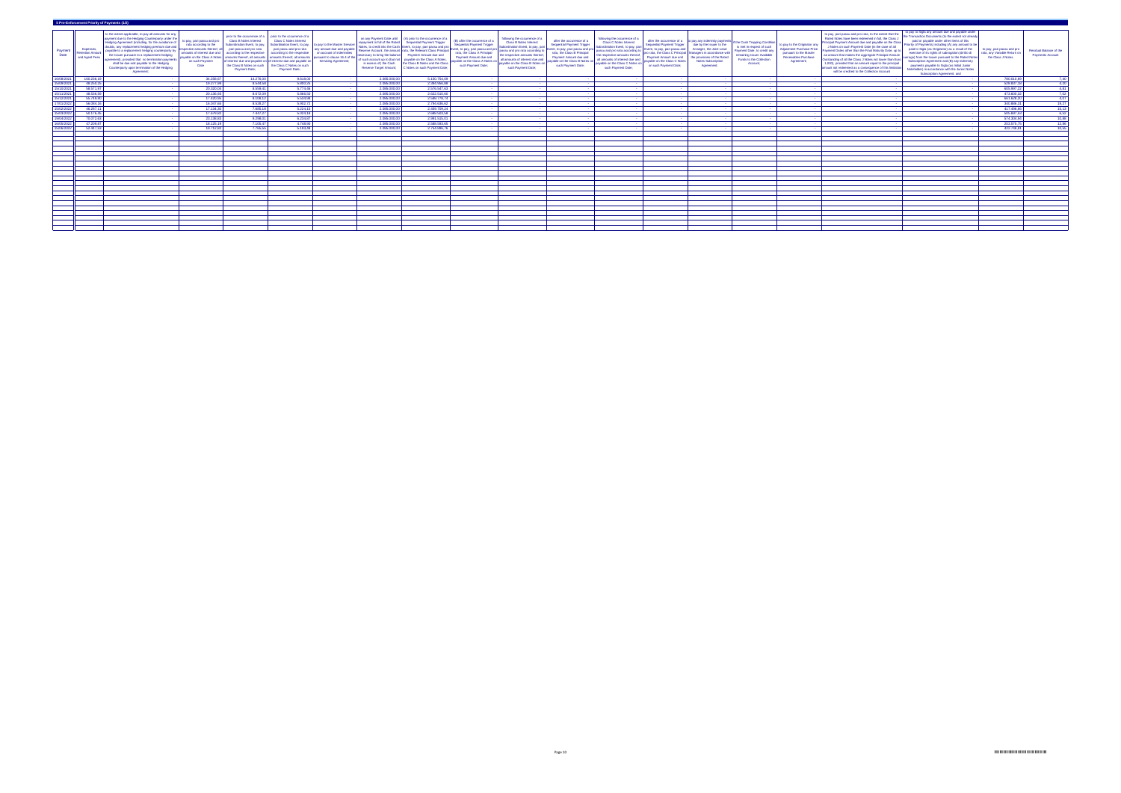|                                                                   | 5 Pre-Enforcement Priority of Payments (1/2)       |                                                                                                                                                                                                                                                                                                                                                                                                                                                                                |                                                                                                                                                                          |                                                                                                                                                                             |                                                                                                                                                                                                                                                                                                                                                                             |                                                                                                                                                       |                                                         |                                                                                                                                                                                                                                                                                                                                                                                                                                                                           |                                                                                                                                                                                                                          |                                                                                                                                                                                                                                                                |                                                                                                                                                                                                                  |                                                                                                                                                                                                                                                                  |                                                                                                                                                |                                                                                                                                                                                                                                                                |                                                                                                                                                                        |                                                                                                                                       |                                                                                                                                                                                                                                                                                                                                                                                                                                                                                                                                                                  |                                                                                                                                                                                                                                                                                                                                                                                                                                                                                                                                                                  |                                                                                 |                                                           |
|-------------------------------------------------------------------|----------------------------------------------------|--------------------------------------------------------------------------------------------------------------------------------------------------------------------------------------------------------------------------------------------------------------------------------------------------------------------------------------------------------------------------------------------------------------------------------------------------------------------------------|--------------------------------------------------------------------------------------------------------------------------------------------------------------------------|-----------------------------------------------------------------------------------------------------------------------------------------------------------------------------|-----------------------------------------------------------------------------------------------------------------------------------------------------------------------------------------------------------------------------------------------------------------------------------------------------------------------------------------------------------------------------|-------------------------------------------------------------------------------------------------------------------------------------------------------|---------------------------------------------------------|---------------------------------------------------------------------------------------------------------------------------------------------------------------------------------------------------------------------------------------------------------------------------------------------------------------------------------------------------------------------------------------------------------------------------------------------------------------------------|--------------------------------------------------------------------------------------------------------------------------------------------------------------------------------------------------------------------------|----------------------------------------------------------------------------------------------------------------------------------------------------------------------------------------------------------------------------------------------------------------|------------------------------------------------------------------------------------------------------------------------------------------------------------------------------------------------------------------|------------------------------------------------------------------------------------------------------------------------------------------------------------------------------------------------------------------------------------------------------------------|------------------------------------------------------------------------------------------------------------------------------------------------|----------------------------------------------------------------------------------------------------------------------------------------------------------------------------------------------------------------------------------------------------------------|------------------------------------------------------------------------------------------------------------------------------------------------------------------------|---------------------------------------------------------------------------------------------------------------------------------------|------------------------------------------------------------------------------------------------------------------------------------------------------------------------------------------------------------------------------------------------------------------------------------------------------------------------------------------------------------------------------------------------------------------------------------------------------------------------------------------------------------------------------------------------------------------|------------------------------------------------------------------------------------------------------------------------------------------------------------------------------------------------------------------------------------------------------------------------------------------------------------------------------------------------------------------------------------------------------------------------------------------------------------------------------------------------------------------------------------------------------------------|---------------------------------------------------------------------------------|-----------------------------------------------------------|
| Payment<br>Date                                                   | Expenses<br><b>Retention Amo</b><br>and Agent Fees | to the extent applicable, to pay all amounts for an<br>bayment due to the Hedging Counterparty under th<br>Hedging Agreement (including, for the avoidance o<br>doubts, any replacement hedging premium due and<br>payable to a replacement hedging counterparty b<br>the Issuer pursuant to a replacement hedging<br>agreement), provided that no termination payment<br>shall be due and payable to the Hedging<br>Counterparty upon termination of the Hedging<br>Agreement | to pay, pari passu and pro<br>rata according to the<br>espective amounts thereof,<br>amounts of interest due and<br>ayable on the Class A Not<br>on such Payment<br>Date | <b>Class B Notes Interest</b><br>Subordination Event, to pay<br>pari passu and pro rata<br>according to the respective<br>the Class B Notes on such<br><b>Payment Date;</b> | prior to the occurrence of a   prior to the occurrence of a<br><b>Class C Notes Interest</b><br>Subordination Event, to pay,<br>pari passu and pro rata<br>according to the respective<br>amounts thereof, all amounts   amounts thereof, all amounts<br>of interest due and payable on of interest due and payable on<br>the Class C Notes on such<br><b>Payment Date;</b> | to pay to the Master Service<br>any amount due and payable<br>on account of indemnities<br>ursuant to clause 16.4 of t<br><b>Servicing Agreement;</b> | in excess of) the Cash<br><b>Reserve Target Amount;</b> | on any Payment Date until $\left( A \right)$ prior to the occurrence of<br>repayment in full of the Rated   Sequential Payment Trigger<br>Notes, to credit into the Cash Event, to pay, pari passu and pr<br>Reserve Account, the amount rata, the Relevant Class Principa<br>necessary to bring the balance   Payment Amount due and<br>of such account up to (but not   payable on the Class A Notes<br>the Class B Notes and the Class<br>C Notes on such Payment Date | (B) after the occurrence of a<br><b>Sequential Payment Trigger</b><br>Event, to pay, pari passu and pro<br>rata, the Class A Principal<br>Payment Amount due and<br>ayable on the Class A Notes on<br>such Payment Date; | following the occurrence of a<br><b>Class B Notes Interest</b><br>Subordination Event, to pay, pari<br>passu and pro rata according<br>the respective amounts thereof<br>all amounts of interest due and<br>payable on the Class B Notes<br>such Payment Date; | after the occurrence of a<br><b>Sequential Payment Trigger</b><br>vent, to pay, pari passu and pro<br>rata, the Class B Principal<br>Payment Amount due and<br>ayable on the Class B Notes<br>such Payment Date; | following the occurrence of a<br><b>Class C Notes Interest</b><br>subordination Event, to pay, par<br>passu and pro rata according to<br>the respective amounts thereof,<br>all amounts of interest due and<br>ayable on the Class C Notes<br>such Payment Date; | Sequential Payment Trigger<br>Event, to pay, pari passu and<br>Payment Amount due and<br>payable on the Class C Notes<br>on such Payment Date; | after the occurrence of a   to pay any indemnity payments<br>due by the Issuer to the<br>Arranger, the Joint Lead<br>oro rata, the Class C Principal   Managers in accordance with  <br>the provisions of the Rated<br><b>Notes Subscription</b><br>Agreement; | if the Cash Trapping Condition'<br>is met in respect of such<br>Payment Date, to credit an<br>remaining Issuer Available<br><b>Funds to the Collection</b><br>Account; | to pay to the Originator a<br><b>Adjustment Purchase Price</b><br>pursuant to the Master<br><b>Receivables Purchase</b><br>Agreement; | to pay, pari passu and pro rata, to the extent that the<br>Rated Notes have been redeemed in full, the Class<br>Principal Payment Amount due and payable on the Cla<br>J Notes on such Payment Date (in the case of all<br>Payment Dates other than the Final Maturity Date, up<br>an amount that makes the aggregate Principal Amount<br>Outstanding of all the Class J Notes not lower than Euro<br>1,000), provided that an amount equal to the princip<br>amount not redeemed as a consequence of this limitat<br>will be credited to the Collection Account | to pay to Sigla any amount due and payable under<br>the Transaction Documents (to the extent not already<br>paid or payable under other items of this<br>Priority of Payments) including (A) any amount to be<br>paid to Sigla (as Originator) as a result of the<br>exercise of its rights of subrogation (diritto di<br>surroga) from the Issuer pursuant to the Rated Notes<br>Subscription Agreement and (B) any indemnity<br>payments payable to Sigla (as Initial Junior<br>Noteholder) in accordance with the Junior Notes<br>Subscription Agreement; and | to pay, pari passu and pro<br>rata, any Variable Return o<br>the Class J Notes. | <b>Residual Balance of the</b><br><b>Payments Account</b> |
| 16/08/202                                                         | 160.236,19                                         |                                                                                                                                                                                                                                                                                                                                                                                                                                                                                | 34.258,67                                                                                                                                                                | 14.276,00                                                                                                                                                                   | 9.618,00                                                                                                                                                                                                                                                                                                                                                                    |                                                                                                                                                       | 2.085.000,00                                            | 5.150.754,09                                                                                                                                                                                                                                                                                                                                                                                                                                                              |                                                                                                                                                                                                                          |                                                                                                                                                                                                                                                                |                                                                                                                                                                                                                  |                                                                                                                                                                                                                                                                  |                                                                                                                                                |                                                                                                                                                                                                                                                                |                                                                                                                                                                        |                                                                                                                                       |                                                                                                                                                                                                                                                                                                                                                                                                                                                                                                                                                                  |                                                                                                                                                                                                                                                                                                                                                                                                                                                                                                                                                                  | 780.010,69                                                                      | 7,40                                                      |
| 15/09/202                                                         | 48.250,25                                          |                                                                                                                                                                                                                                                                                                                                                                                                                                                                                | 19.277,99                                                                                                                                                                | 8.544,58                                                                                                                                                                    | 5.800,25                                                                                                                                                                                                                                                                                                                                                                    |                                                                                                                                                       | 2.085.000,00                                            | 2.394.956,8                                                                                                                                                                                                                                                                                                                                                                                                                                                               |                                                                                                                                                                                                                          |                                                                                                                                                                                                                                                                |                                                                                                                                                                                                                  |                                                                                                                                                                                                                                                                  |                                                                                                                                                |                                                                                                                                                                                                                                                                |                                                                                                                                                                        |                                                                                                                                       |                                                                                                                                                                                                                                                                                                                                                                                                                                                                                                                                                                  |                                                                                                                                                                                                                                                                                                                                                                                                                                                                                                                                                                  | 528.837,18                                                                      | 4,20                                                      |
| 15/10/202                                                         | 58.571.97                                          |                                                                                                                                                                                                                                                                                                                                                                                                                                                                                | 20.320,04                                                                                                                                                                | 8.559,41                                                                                                                                                                    | 5.774,46                                                                                                                                                                                                                                                                                                                                                                    |                                                                                                                                                       | 2.085.000,00                                            | 2.576.547,6                                                                                                                                                                                                                                                                                                                                                                                                                                                               |                                                                                                                                                                                                                          |                                                                                                                                                                                                                                                                |                                                                                                                                                                                                                  |                                                                                                                                                                                                                                                                  |                                                                                                                                                |                                                                                                                                                                                                                                                                |                                                                                                                                                                        |                                                                                                                                       |                                                                                                                                                                                                                                                                                                                                                                                                                                                                                                                                                                  |                                                                                                                                                                                                                                                                                                                                                                                                                                                                                                                                                                  | 605.997,2                                                                       | 4,81                                                      |
| 15/11/202                                                         | 48.536.59                                          |                                                                                                                                                                                                                                                                                                                                                                                                                                                                                | 20.136,93                                                                                                                                                                | 8.672,09                                                                                                                                                                    | 5.866,50                                                                                                                                                                                                                                                                                                                                                                    |                                                                                                                                                       | 2.085.000,00                                            | 2.622.510,6                                                                                                                                                                                                                                                                                                                                                                                                                                                               |                                                                                                                                                                                                                          |                                                                                                                                                                                                                                                                |                                                                                                                                                                                                                  |                                                                                                                                                                                                                                                                  |                                                                                                                                                |                                                                                                                                                                                                                                                                |                                                                                                                                                                        |                                                                                                                                       |                                                                                                                                                                                                                                                                                                                                                                                                                                                                                                                                                                  |                                                                                                                                                                                                                                                                                                                                                                                                                                                                                                                                                                  | 473.600,3                                                                       | $\frac{1}{7,02}$                                          |
| 15/12/2021                                                        | 55.749.90                                          |                                                                                                                                                                                                                                                                                                                                                                                                                                                                                | 17.420.95                                                                                                                                                                | 8.108,12                                                                                                                                                                    | 5.534,98                                                                                                                                                                                                                                                                                                                                                                    |                                                                                                                                                       | 2.085.000.00                                            | 2.598.778,74                                                                                                                                                                                                                                                                                                                                                                                                                                                              |                                                                                                                                                                                                                          |                                                                                                                                                                                                                                                                |                                                                                                                                                                                                                  |                                                                                                                                                                                                                                                                  |                                                                                                                                                |                                                                                                                                                                                                                                                                |                                                                                                                                                                        |                                                                                                                                       |                                                                                                                                                                                                                                                                                                                                                                                                                                                                                                                                                                  |                                                                                                                                                                                                                                                                                                                                                                                                                                                                                                                                                                  | 661.628.2                                                                       | $-4.07$                                                   |
| 17/01/202                                                         | 56.084.16                                          |                                                                                                                                                                                                                                                                                                                                                                                                                                                                                | 16.047.6                                                                                                                                                                 | 8.528,27                                                                                                                                                                    | 5.902,72                                                                                                                                                                                                                                                                                                                                                                    |                                                                                                                                                       | 2.085.000,00                                            | 2.794.636,6                                                                                                                                                                                                                                                                                                                                                                                                                                                               |                                                                                                                                                                                                                          |                                                                                                                                                                                                                                                                |                                                                                                                                                                                                                  |                                                                                                                                                                                                                                                                  |                                                                                                                                                |                                                                                                                                                                                                                                                                |                                                                                                                                                                        |                                                                                                                                       |                                                                                                                                                                                                                                                                                                                                                                                                                                                                                                                                                                  |                                                                                                                                                                                                                                                                                                                                                                                                                                                                                                                                                                  | 340.886,3                                                                       | $\frac{19,27}{15,13}$                                     |
| 15/02/202                                                         | 46.287,1                                           |                                                                                                                                                                                                                                                                                                                                                                                                                                                                                | 17.134.30                                                                                                                                                                | 7.685,18                                                                                                                                                                    | 5.224,15                                                                                                                                                                                                                                                                                                                                                                    |                                                                                                                                                       | 2.085.000,00                                            | 2.459.709,2                                                                                                                                                                                                                                                                                                                                                                                                                                                               |                                                                                                                                                                                                                          |                                                                                                                                                                                                                                                                |                                                                                                                                                                                                                  |                                                                                                                                                                                                                                                                  |                                                                                                                                                |                                                                                                                                                                                                                                                                |                                                                                                                                                                        |                                                                                                                                       |                                                                                                                                                                                                                                                                                                                                                                                                                                                                                                                                                                  |                                                                                                                                                                                                                                                                                                                                                                                                                                                                                                                                                                  | 417.496.66                                                                      |                                                           |
| 15/03/2022                                                        | 50.176,45                                          |                                                                                                                                                                                                                                                                                                                                                                                                                                                                                | 17.679,82                                                                                                                                                                | 7.447,27                                                                                                                                                                    | 5.024,18                                                                                                                                                                                                                                                                                                                                                                    |                                                                                                                                                       | 2.085.000,00                                            | 2.688.503,5                                                                                                                                                                                                                                                                                                                                                                                                                                                               |                                                                                                                                                                                                                          |                                                                                                                                                                                                                                                                |                                                                                                                                                                                                                  |                                                                                                                                                                                                                                                                  |                                                                                                                                                |                                                                                                                                                                                                                                                                |                                                                                                                                                                        |                                                                                                                                       |                                                                                                                                                                                                                                                                                                                                                                                                                                                                                                                                                                  |                                                                                                                                                                                                                                                                                                                                                                                                                                                                                                                                                                  | 505.697,5                                                                       | 6,52<br>$\frac{10,88}{ }$                                 |
| 19/04/2022<br>and the control of the control of the<br>16/05/2022 | 70.072,63<br>47.209,87                             |                                                                                                                                                                                                                                                                                                                                                                                                                                                                                | 23.138,83<br>18.125,19                                                                                                                                                   | 9.298,01<br>7.105.47                                                                                                                                                        | 6.234,87<br>4.748,90                                                                                                                                                                                                                                                                                                                                                        |                                                                                                                                                       | 2.085.000,00<br>2.085.000,00                            | 2.991.515,0<br>2.588.593,6                                                                                                                                                                                                                                                                                                                                                                                                                                                |                                                                                                                                                                                                                          |                                                                                                                                                                                                                                                                |                                                                                                                                                                                                                  |                                                                                                                                                                                                                                                                  |                                                                                                                                                |                                                                                                                                                                                                                                                                |                                                                                                                                                                        |                                                                                                                                       |                                                                                                                                                                                                                                                                                                                                                                                                                                                                                                                                                                  |                                                                                                                                                                                                                                                                                                                                                                                                                                                                                                                                                                  | 574.304,94<br>203.575,75                                                        | 12,86                                                     |
| 15/06/202                                                         | 52 447 53                                          |                                                                                                                                                                                                                                                                                                                                                                                                                                                                                | 19.712,82                                                                                                                                                                | 7 7 6 5 5 5 1                                                                                                                                                               | 5.193,48                                                                                                                                                                                                                                                                                                                                                                    |                                                                                                                                                       | 2.085.000,00                                            | 2.754.896,7                                                                                                                                                                                                                                                                                                                                                                                                                                                               |                                                                                                                                                                                                                          |                                                                                                                                                                                                                                                                |                                                                                                                                                                                                                  |                                                                                                                                                                                                                                                                  |                                                                                                                                                |                                                                                                                                                                                                                                                                |                                                                                                                                                                        |                                                                                                                                       |                                                                                                                                                                                                                                                                                                                                                                                                                                                                                                                                                                  |                                                                                                                                                                                                                                                                                                                                                                                                                                                                                                                                                                  | 422.748.81                                                                      | 10,55                                                     |
|                                                                   |                                                    |                                                                                                                                                                                                                                                                                                                                                                                                                                                                                |                                                                                                                                                                          |                                                                                                                                                                             |                                                                                                                                                                                                                                                                                                                                                                             |                                                                                                                                                       |                                                         |                                                                                                                                                                                                                                                                                                                                                                                                                                                                           |                                                                                                                                                                                                                          |                                                                                                                                                                                                                                                                |                                                                                                                                                                                                                  |                                                                                                                                                                                                                                                                  |                                                                                                                                                |                                                                                                                                                                                                                                                                |                                                                                                                                                                        |                                                                                                                                       |                                                                                                                                                                                                                                                                                                                                                                                                                                                                                                                                                                  |                                                                                                                                                                                                                                                                                                                                                                                                                                                                                                                                                                  |                                                                                 |                                                           |
|                                                                   |                                                    |                                                                                                                                                                                                                                                                                                                                                                                                                                                                                |                                                                                                                                                                          |                                                                                                                                                                             |                                                                                                                                                                                                                                                                                                                                                                             |                                                                                                                                                       |                                                         |                                                                                                                                                                                                                                                                                                                                                                                                                                                                           |                                                                                                                                                                                                                          |                                                                                                                                                                                                                                                                |                                                                                                                                                                                                                  |                                                                                                                                                                                                                                                                  |                                                                                                                                                |                                                                                                                                                                                                                                                                |                                                                                                                                                                        |                                                                                                                                       |                                                                                                                                                                                                                                                                                                                                                                                                                                                                                                                                                                  |                                                                                                                                                                                                                                                                                                                                                                                                                                                                                                                                                                  |                                                                                 |                                                           |
|                                                                   |                                                    |                                                                                                                                                                                                                                                                                                                                                                                                                                                                                |                                                                                                                                                                          |                                                                                                                                                                             |                                                                                                                                                                                                                                                                                                                                                                             |                                                                                                                                                       |                                                         |                                                                                                                                                                                                                                                                                                                                                                                                                                                                           |                                                                                                                                                                                                                          |                                                                                                                                                                                                                                                                |                                                                                                                                                                                                                  |                                                                                                                                                                                                                                                                  |                                                                                                                                                |                                                                                                                                                                                                                                                                |                                                                                                                                                                        |                                                                                                                                       |                                                                                                                                                                                                                                                                                                                                                                                                                                                                                                                                                                  |                                                                                                                                                                                                                                                                                                                                                                                                                                                                                                                                                                  |                                                                                 |                                                           |
|                                                                   |                                                    |                                                                                                                                                                                                                                                                                                                                                                                                                                                                                |                                                                                                                                                                          |                                                                                                                                                                             |                                                                                                                                                                                                                                                                                                                                                                             |                                                                                                                                                       |                                                         |                                                                                                                                                                                                                                                                                                                                                                                                                                                                           |                                                                                                                                                                                                                          |                                                                                                                                                                                                                                                                |                                                                                                                                                                                                                  |                                                                                                                                                                                                                                                                  |                                                                                                                                                |                                                                                                                                                                                                                                                                |                                                                                                                                                                        |                                                                                                                                       |                                                                                                                                                                                                                                                                                                                                                                                                                                                                                                                                                                  |                                                                                                                                                                                                                                                                                                                                                                                                                                                                                                                                                                  |                                                                                 |                                                           |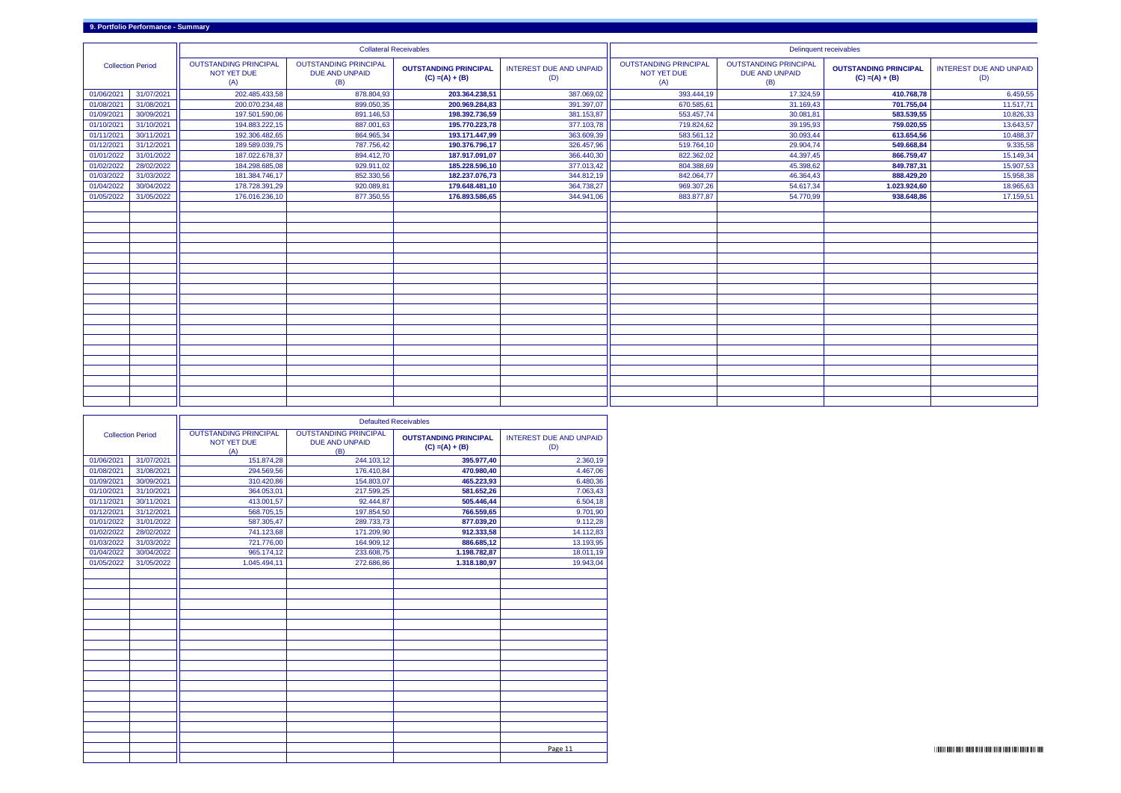|                          |            |                                                    |                                                              | <b>Collateral Receivables</b>                     |                                       |                                                    | Delinquent receivables                                       |                                                   |                                       |
|--------------------------|------------|----------------------------------------------------|--------------------------------------------------------------|---------------------------------------------------|---------------------------------------|----------------------------------------------------|--------------------------------------------------------------|---------------------------------------------------|---------------------------------------|
| <b>Collection Period</b> |            | <b>OUTSTANDING PRINCIPAL</b><br>NOT YET DUE<br>(A) | <b>OUTSTANDING PRINCIPAL</b><br><b>DUE AND UNPAID</b><br>(B) | <b>OUTSTANDING PRINCIPAL</b><br>$(C) = (A) + (B)$ | <b>INTEREST DUE AND UNPAID</b><br>(D) | <b>OUTSTANDING PRINCIPAL</b><br>NOT YET DUE<br>(A) | <b>OUTSTANDING PRINCIPAL</b><br><b>DUE AND UNPAID</b><br>(B) | <b>OUTSTANDING PRINCIPAL</b><br>$(C) = (A) + (B)$ | <b>INTEREST DUE AND UNPAID</b><br>(D) |
| 01/06/2021               | 31/07/2021 | 202.485.433,58                                     | 878.804,93                                                   | 203.364.238,51                                    | 387.069,02                            | 393.444,19                                         | 17.324,59                                                    | 410.768,78                                        | 6.459,55                              |
| 01/08/2021               | 31/08/2021 | 200.070.234,48                                     | 899.050,35                                                   | 200.969.284,83                                    | 391.397,07                            | 670.585,61                                         | 31.169,43                                                    | 701.755,04                                        | 11.517,71                             |
| 01/09/2021               | 30/09/2021 | 197.501.590,06                                     | 891.146,53                                                   | 198.392.736,59                                    | 381.153,87                            | 553.457,74                                         | 30.081,81                                                    | 583.539,55                                        | 10.826,33                             |
| 01/10/2021               | 31/10/2021 | 194.883.222,15                                     | 887.001,63                                                   | 195.770.223,78                                    | 377.103,78                            | 719.824,62                                         | 39.195,93                                                    | 759.020,55                                        | 13.643,57                             |
| 01/11/2021               | 30/11/2021 | 192.306.482,65                                     | 864.965,34                                                   | 193.171.447,99                                    | 363.609,39                            | 583.561,12                                         | 30.093,44                                                    | 613.654,56                                        | 10.488,37                             |
| 01/12/2021               | 31/12/2021 | 189.589.039,75                                     | 787.756,42                                                   | 190.376.796,17                                    | 326.457,96                            | 519.764,10                                         | 29.904,74                                                    | 549.668,84                                        | 9.335,58                              |
| 01/01/2022               | 31/01/2022 | 187.022.678,37                                     | 894.412,70                                                   | 187.917.091,07                                    | 366.440,30                            | 822.362,02                                         | 44.397,45                                                    | 866.759,47                                        | 15.149,34                             |
| 01/02/2022               | 28/02/2022 | 184.298.685,08                                     | 929.911,02                                                   | 185.228.596,10                                    | 377.013,42                            | 804.388,69                                         | 45.398,62                                                    | 849.787,31                                        | 15.907,53                             |
| 01/03/2022               | 31/03/2022 | 181.384.746,17                                     | 852.330,56                                                   | 182.237.076,73                                    | 344.812,19                            | 842.064,77                                         | 46.364,43                                                    | 888.429,20                                        | 15.958,38                             |
| 01/04/2022               | 30/04/2022 | 178.728.391,29                                     | 920.089,81                                                   | 179.648.481,10                                    | 364.738,27                            | 969.307,26                                         | 54.617,34                                                    | 1.023.924,60                                      | 18.965,63                             |
| 01/05/2022               | 31/05/2022 | 176.016.236,10                                     | 877.350,55                                                   | 176.893.586,65                                    | 344.941,06                            | 883.877,87                                         | 54.770,99                                                    | 938.648,86                                        | 17.159,51                             |
|                          |            |                                                    |                                                              |                                                   |                                       |                                                    |                                                              |                                                   |                                       |
|                          |            |                                                    |                                                              |                                                   |                                       |                                                    |                                                              |                                                   |                                       |
|                          |            |                                                    |                                                              |                                                   |                                       |                                                    |                                                              |                                                   |                                       |
|                          |            |                                                    |                                                              |                                                   |                                       |                                                    |                                                              |                                                   |                                       |
|                          |            |                                                    |                                                              |                                                   |                                       |                                                    |                                                              |                                                   |                                       |
|                          |            |                                                    |                                                              |                                                   |                                       |                                                    |                                                              |                                                   |                                       |
|                          |            |                                                    |                                                              |                                                   |                                       |                                                    |                                                              |                                                   |                                       |
|                          |            |                                                    |                                                              |                                                   |                                       |                                                    |                                                              |                                                   |                                       |
|                          |            |                                                    |                                                              |                                                   |                                       |                                                    |                                                              |                                                   |                                       |
|                          |            |                                                    |                                                              |                                                   |                                       |                                                    |                                                              |                                                   |                                       |
|                          |            |                                                    |                                                              |                                                   |                                       |                                                    |                                                              |                                                   |                                       |
|                          |            |                                                    |                                                              |                                                   |                                       |                                                    |                                                              |                                                   |                                       |
|                          |            |                                                    |                                                              |                                                   |                                       |                                                    |                                                              |                                                   |                                       |
|                          |            |                                                    |                                                              |                                                   |                                       |                                                    |                                                              |                                                   |                                       |
|                          |            |                                                    |                                                              |                                                   |                                       |                                                    |                                                              |                                                   |                                       |
|                          |            |                                                    |                                                              |                                                   |                                       |                                                    |                                                              |                                                   |                                       |
|                          |            |                                                    |                                                              |                                                   |                                       |                                                    |                                                              |                                                   |                                       |
|                          |            |                                                    |                                                              |                                                   |                                       |                                                    |                                                              |                                                   |                                       |
|                          |            |                                                    |                                                              |                                                   |                                       |                                                    |                                                              |                                                   |                                       |
|                          |            |                                                    |                                                              |                                                   |                                       |                                                    |                                                              |                                                   |                                       |

|            |                          | <b>Defaulted Receivables</b>                              |                                                              |                                                   |                                       |  |  |  |  |  |  |  |  |
|------------|--------------------------|-----------------------------------------------------------|--------------------------------------------------------------|---------------------------------------------------|---------------------------------------|--|--|--|--|--|--|--|--|
|            | <b>Collection Period</b> | <b>OUTSTANDING PRINCIPAL</b><br><b>NOT YET DUE</b><br>(A) | <b>OUTSTANDING PRINCIPAL</b><br><b>DUE AND UNPAID</b><br>(B) | <b>OUTSTANDING PRINCIPAL</b><br>$(C) = (A) + (B)$ | <b>INTEREST DUE AND UNPAID</b><br>(D) |  |  |  |  |  |  |  |  |
| 01/06/2021 | 31/07/2021               | 151.874,28                                                | 244.103,12                                                   | 395.977,40                                        | 2.360,19                              |  |  |  |  |  |  |  |  |
| 01/08/2021 | 31/08/2021               | 294.569,56                                                | 176.410,84                                                   | 470.980,40                                        | 4.467,06                              |  |  |  |  |  |  |  |  |
| 01/09/2021 | 30/09/2021               | 310.420,86                                                | 154.803,07                                                   | 465.223,93                                        | 6.480,36                              |  |  |  |  |  |  |  |  |
| 01/10/2021 | 31/10/2021               | 364.053,01                                                | 217.599,25                                                   | 581.652,26                                        | 7.063,43                              |  |  |  |  |  |  |  |  |
| 01/11/2021 | 30/11/2021               | 413.001,57                                                | 92.444,87                                                    | 505.446,44                                        | 6.504,18                              |  |  |  |  |  |  |  |  |
| 01/12/2021 | 31/12/2021               | 568.705,15                                                | 197.854,50                                                   | 766.559,65                                        | 9.701,90                              |  |  |  |  |  |  |  |  |
| 01/01/2022 | 31/01/2022               | 587.305,47                                                | 289.733,73                                                   | 877.039,20                                        | 9.112,28                              |  |  |  |  |  |  |  |  |
| 01/02/2022 | 28/02/2022               | 741.123,68                                                | 171.209,90                                                   | 912.333,58                                        | 14.112,83                             |  |  |  |  |  |  |  |  |
| 01/03/2022 | 31/03/2022               | 721.776,00                                                | 164.909,12                                                   | 886.685,12                                        | 13.193,95                             |  |  |  |  |  |  |  |  |
| 01/04/2022 | 30/04/2022               | 965.174,12                                                | 233.608,75                                                   | 1.198.782,87                                      | 18.011,19                             |  |  |  |  |  |  |  |  |
| 01/05/2022 | 31/05/2022               | 1.045.494,11                                              | 272.686,86                                                   | 1.318.180,97                                      | 19.943,04                             |  |  |  |  |  |  |  |  |
|            |                          |                                                           |                                                              |                                                   |                                       |  |  |  |  |  |  |  |  |
|            |                          |                                                           |                                                              |                                                   |                                       |  |  |  |  |  |  |  |  |
|            |                          |                                                           |                                                              |                                                   |                                       |  |  |  |  |  |  |  |  |
|            |                          |                                                           |                                                              |                                                   |                                       |  |  |  |  |  |  |  |  |
|            |                          |                                                           |                                                              |                                                   |                                       |  |  |  |  |  |  |  |  |
|            |                          |                                                           |                                                              |                                                   |                                       |  |  |  |  |  |  |  |  |
|            |                          |                                                           |                                                              |                                                   |                                       |  |  |  |  |  |  |  |  |
|            |                          |                                                           |                                                              |                                                   |                                       |  |  |  |  |  |  |  |  |
|            |                          |                                                           |                                                              |                                                   |                                       |  |  |  |  |  |  |  |  |
|            |                          |                                                           |                                                              |                                                   |                                       |  |  |  |  |  |  |  |  |
|            |                          |                                                           |                                                              |                                                   |                                       |  |  |  |  |  |  |  |  |
|            |                          |                                                           |                                                              |                                                   |                                       |  |  |  |  |  |  |  |  |
|            |                          |                                                           |                                                              |                                                   |                                       |  |  |  |  |  |  |  |  |
|            |                          |                                                           |                                                              |                                                   |                                       |  |  |  |  |  |  |  |  |
|            |                          |                                                           |                                                              |                                                   |                                       |  |  |  |  |  |  |  |  |
|            |                          |                                                           |                                                              |                                                   |                                       |  |  |  |  |  |  |  |  |
|            |                          |                                                           |                                                              |                                                   |                                       |  |  |  |  |  |  |  |  |
|            |                          |                                                           |                                                              |                                                   | Page 11                               |  |  |  |  |  |  |  |  |
|            |                          |                                                           |                                                              |                                                   |                                       |  |  |  |  |  |  |  |  |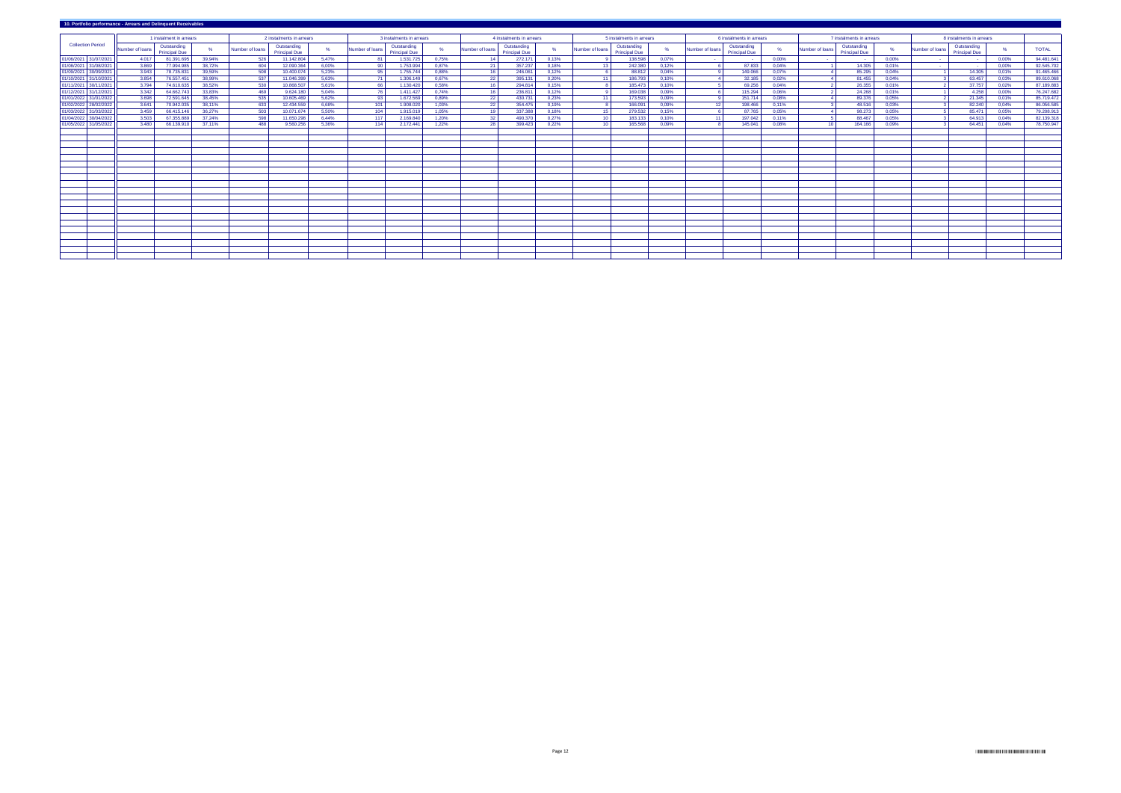| 10. Portfolio performance - Arrears and Delinquent Receivables |                 |                                     |        |                 |                                     |          |                          |                                     |       |                          |                                     |                          |                 |                                     |                          |                 |                                     |                          |                 |                                     |       |                          |                                     |       |              |
|----------------------------------------------------------------|-----------------|-------------------------------------|--------|-----------------|-------------------------------------|----------|--------------------------|-------------------------------------|-------|--------------------------|-------------------------------------|--------------------------|-----------------|-------------------------------------|--------------------------|-----------------|-------------------------------------|--------------------------|-----------------|-------------------------------------|-------|--------------------------|-------------------------------------|-------|--------------|
|                                                                |                 | 1 instalment in arrears             |        |                 | 2 instalments in arrears            |          | 3 instalments in arrears |                                     |       | 4 instalments in arrears |                                     | 5 instalments in arrears |                 |                                     | 6 instalments in arrears |                 |                                     | 7 instalments in arrears |                 |                                     |       | 8 instalments in arrears |                                     |       |              |
| <b>Collection Period</b>                                       | Number of loans | Outstanding<br><b>Principal Due</b> |        | Number of loans | Outstanding<br><b>Principal Due</b> |          | Number of loans          | Outstanding<br><b>Principal Due</b> |       | Number of loans          | Outstanding<br><b>Principal Due</b> |                          | Number of loans | Outstanding<br><b>Principal Due</b> |                          | Number of loans | Outstanding<br><b>Principal Due</b> |                          | Number of loans | Outstanding<br><b>Principal Due</b> | %     | Number of loans          | Outstanding<br><b>Principal Due</b> |       | <b>TOTAL</b> |
| 01/06/2021 31/07/2021                                          | 4.017           | 81.391.695                          | 39,94% | 526             | 11.142.804                          | 5,47%    |                          | 1.531.725                           | 0,75% | $\overline{14}$          | 272.171                             | 0,13%                    |                 | 138.598                             | 0,07%                    |                 | $\sim$ 100 $\pm$                    | 0,00%                    |                 |                                     | 0,00% | <b>Contract</b>          | $\sim 100$                          | 0,00% | 94.481.641   |
| 01/08/2021 31/08/2021                                          | 3.869           | 77.994.985                          | 38,72% | 604             | 12.090.364                          | $6,00\%$ |                          | 1.753.994                           | 0,87% | 21                       | 357.237                             | 0,18%                    | -13-            | 242.380                             | 0,12%                    |                 | 87.833                              | $0.04\%$                 |                 | 14.305                              | 0.01% | <b>Contract</b>          | <b>Contract</b>                     | 0,00% | 92.545.702   |
| 01/09/2021 30/09/2021                                          | 3.943           | 78.735.831                          | 39,59% | 508             | 10.400.074                          | 5,23%    |                          | 1.755.744                           | 0,88% | 16                       | 246.061                             | 0,12%                    |                 | 88.812                              | 0,04%                    |                 | 149.066                             | $0,07\%$                 |                 | 85.295                              | 0,04% |                          | 14.305                              | 0,01% | 91.465.466   |
| 01/10/2021 31/10/2021                                          | 3.854           | 76.557.451                          | 38,99% | 537             | 11.046.399                          | 5,63%    |                          | 1.306.149                           | 0,67% | 22                       | 395.131                             | 0,20%                    | - 11            | 186.793                             | 0,10%                    |                 | 32.185                              | $0,02\%$                 |                 | 81.455                              | 0,04% |                          | 63.457                              | 0,03% | 89.610.068   |
| 01/11/2021 30/11/2021                                          | 3.794           | 74.610.635                          | 38,52% | 530             | 10.868.507                          | 5,61%    |                          | 1.130.420                           | 0,58% | 16                       | 294.814                             | 0,15%                    |                 | 185.473                             | 0,10%                    |                 | 69.256                              | 0,04%                    |                 | 26.355                              | 0,01% |                          | 37.757                              | 0,02% | 87.189.883   |
| 01/12/2021 31/12/2021                                          | 3.342           | 64.662.743                          | 33,83% | 469             | 9.624.180                           | 5,04%    |                          | 1.411.427                           | 0,74% | 16                       | 236.811                             | 0,12%                    |                 | 169.038                             | 0,09%                    |                 | 115.294                             | $0,06\%$                 |                 | 24.268                              | 0,01% |                          | 4.258                               | 0,00% | 76.247.682   |
| 01/01/2022 31/01/2022                                          | 3.698           | 72.591.645                          | 38,45% | 535             | 10.605.469                          | 5,62%    |                          | 1.672.569                           | 0,89% | 22                       | 430.731                             | 0,23%                    | - 11            | 173.593                             | 0,09%                    |                 | 151.714                             | 0,08%                    |                 | 89.376                              | 0,05% |                          | 21.345                              | 0,01% | 85.719.472   |
| 01/02/2022 28/02/2022                                          | 3.641           | 70.942.035                          | 38,11% | 633             | 12.434.559                          | 6,68%    | 101                      | 1.908.020                           | 1,03% | 22                       | 354.475                             | 0,19%                    |                 | 166.091                             | 0,09%                    | 12              | 198.466                             | $0,11\%$                 |                 | 48.516                              | 0,03% |                          | 82.240                              | 0,04% | 86.056.585   |
| 01/03/2022 31/03/2022                                          | 3.459           | 66.415.14                           | 36,27% | 503             | 10.071.674                          | 5,50%    | 104                      | 1.915.019                           | 1,05% | - 19 I                   | 337.388                             | 0.18%                    | - 15            | 279.532                             | 0,15%                    |                 | 87.765                              | 0.05%                    |                 | 98.273                              | 0,05% |                          | 85.471                              | 0,05% | 79.208.91    |
| 01/04/2022 30/04/2022                                          | 3.503           | 67.355.889                          | 37,24% | 598             | 11.650.298                          | 6,44%    | - 117                    | 2.169.840                           | 1,20% | - 32                     | 490.370                             | 0,27%                    | -10-            | 183.133                             | 0,10%                    | $-11$           | 197.042                             | $0,11\%$                 |                 | 88.467                              | 0,05% |                          | 64.913                              | 0,04% | 82.139.318   |
| 01/05/2022 31/05/2022                                          | 3.480           | 66.139.910                          | 37,11% | 488             | 9.560.256                           | 5,36%    | 114                      | 2.172.441                           | 1,22% | 28                       | 399.423                             | 0,22%                    | - 10            | 165.568                             | 0,09%                    |                 | 145.041                             | 0,08%                    | 10              | 164.166                             | 0,09% |                          | 64.451                              | 0,04% | 78.750.947   |
|                                                                |                 |                                     |        |                 |                                     |          |                          |                                     |       |                          |                                     |                          |                 |                                     |                          |                 |                                     |                          |                 |                                     |       |                          |                                     |       |              |
|                                                                |                 |                                     |        |                 |                                     |          |                          |                                     |       |                          |                                     |                          |                 |                                     |                          |                 |                                     |                          |                 |                                     |       |                          |                                     |       |              |
|                                                                |                 |                                     |        |                 |                                     |          |                          |                                     |       |                          |                                     |                          |                 |                                     |                          |                 |                                     |                          |                 |                                     |       |                          |                                     |       |              |
|                                                                |                 |                                     |        |                 |                                     |          |                          |                                     |       |                          |                                     |                          |                 |                                     |                          |                 |                                     |                          |                 |                                     |       |                          |                                     |       |              |
|                                                                |                 |                                     |        |                 |                                     |          |                          |                                     |       |                          |                                     |                          |                 |                                     |                          |                 |                                     |                          |                 |                                     |       |                          |                                     |       |              |
|                                                                |                 |                                     |        |                 |                                     |          |                          |                                     |       |                          |                                     |                          |                 |                                     |                          |                 |                                     |                          |                 |                                     |       |                          |                                     |       |              |
|                                                                |                 |                                     |        |                 |                                     |          |                          |                                     |       |                          |                                     |                          |                 |                                     |                          |                 |                                     |                          |                 |                                     |       |                          |                                     |       |              |
|                                                                |                 |                                     |        |                 |                                     |          |                          |                                     |       |                          |                                     |                          |                 |                                     |                          |                 |                                     |                          |                 |                                     |       |                          |                                     |       |              |
|                                                                |                 |                                     |        |                 |                                     |          |                          |                                     |       |                          |                                     |                          |                 |                                     |                          |                 |                                     |                          |                 |                                     |       |                          |                                     |       |              |
|                                                                |                 |                                     |        |                 |                                     |          |                          |                                     |       |                          |                                     |                          |                 |                                     |                          |                 |                                     |                          |                 |                                     |       |                          |                                     |       |              |
|                                                                |                 |                                     |        |                 |                                     |          |                          |                                     |       |                          |                                     |                          |                 |                                     |                          |                 |                                     |                          |                 |                                     |       |                          |                                     |       |              |
|                                                                |                 |                                     |        |                 |                                     |          |                          |                                     |       |                          |                                     |                          |                 |                                     |                          |                 |                                     |                          |                 |                                     |       |                          |                                     |       |              |
|                                                                |                 |                                     |        |                 |                                     |          |                          |                                     |       |                          |                                     |                          |                 |                                     |                          |                 |                                     |                          |                 |                                     |       |                          |                                     |       |              |
|                                                                |                 |                                     |        |                 |                                     |          |                          |                                     |       |                          |                                     |                          |                 |                                     |                          |                 |                                     |                          |                 |                                     |       |                          |                                     |       |              |
|                                                                |                 |                                     |        |                 |                                     |          |                          |                                     |       |                          |                                     |                          |                 |                                     |                          |                 |                                     |                          |                 |                                     |       |                          |                                     |       |              |
|                                                                |                 |                                     |        |                 |                                     |          |                          |                                     |       |                          |                                     |                          |                 |                                     |                          |                 |                                     |                          |                 |                                     |       |                          |                                     |       |              |
|                                                                |                 |                                     |        |                 |                                     |          |                          |                                     |       |                          |                                     |                          |                 |                                     |                          |                 |                                     |                          |                 |                                     |       |                          |                                     |       |              |
|                                                                |                 |                                     |        |                 |                                     |          |                          |                                     |       |                          |                                     |                          |                 |                                     |                          |                 |                                     |                          |                 |                                     |       |                          |                                     |       |              |
|                                                                |                 |                                     |        |                 |                                     |          |                          |                                     |       |                          |                                     |                          |                 |                                     |                          |                 |                                     |                          |                 |                                     |       |                          |                                     |       |              |
|                                                                |                 |                                     |        |                 |                                     |          |                          |                                     |       |                          |                                     |                          |                 |                                     |                          |                 |                                     |                          |                 |                                     |       |                          |                                     |       |              |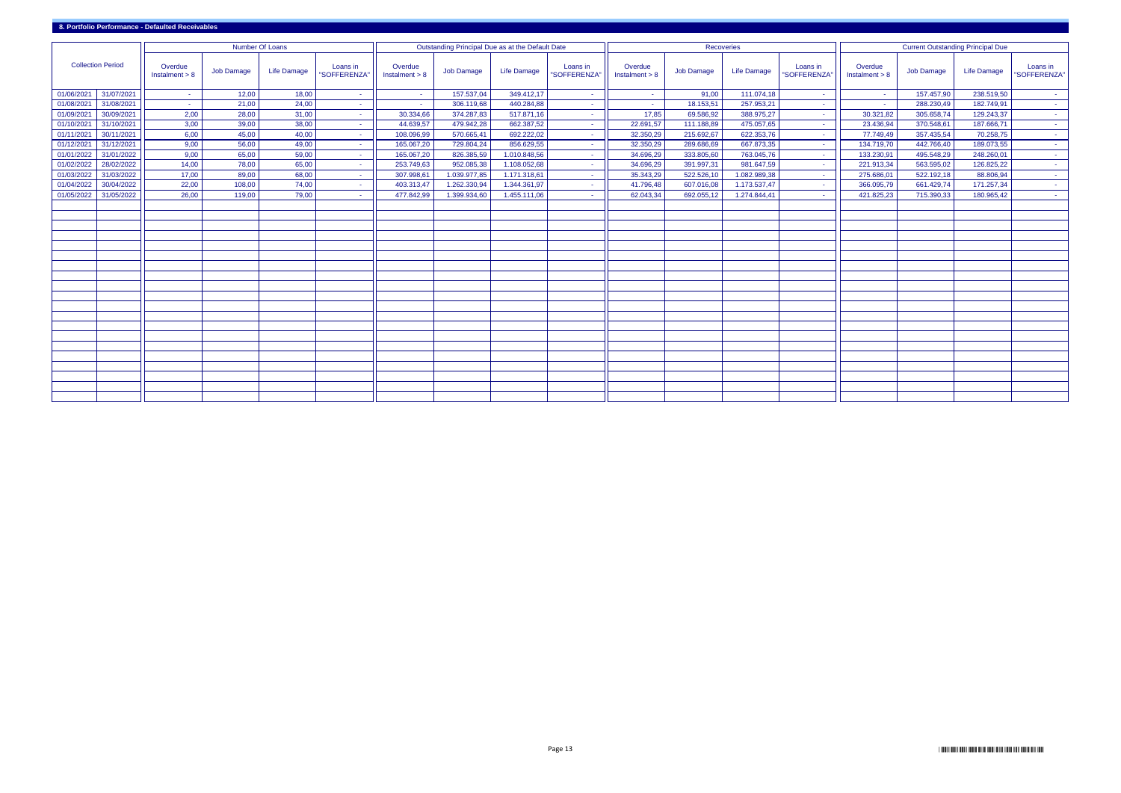| <b>Collection Period</b> |            |                             | <b>Number Of Loans</b> |                    |                         | Outstanding Principal Due as at the Default Date |                   |                    |                         |                             | <b>Recoveries</b> |                    |                         |                        | <b>Current Outstanding Principal Due</b> |                    |                          |  |  |
|--------------------------|------------|-----------------------------|------------------------|--------------------|-------------------------|--------------------------------------------------|-------------------|--------------------|-------------------------|-----------------------------|-------------------|--------------------|-------------------------|------------------------|------------------------------------------|--------------------|--------------------------|--|--|
|                          |            | Overdue<br>Instalment $> 8$ | <b>Job Damage</b>      | <b>Life Damage</b> | Loans in<br>"SOFFERENZA | Overdue<br>Instalment $> 8$                      | <b>Job Damage</b> | <b>Life Damage</b> | Loans in<br>"SOFFERENZA | Overdue<br>Instalment $> 8$ | <b>Job Damage</b> | <b>Life Damage</b> | Loans in<br>"SOFFERENZA | Overdue<br>Instant > 8 | <b>Job Damage</b>                        | <b>Life Damage</b> | Loans in<br>"SOFFERENZA" |  |  |
| 01/06/2021               | 31/07/2021 | $\sim$                      | 12,00                  | 18,00              |                         | $\sim$                                           | 157.537,04        | 349.412,17         | ÷                       | $\sim$                      | 91,00             | 111.074,18         | $\sim$                  | <b>Contract</b>        | 157.457,90                               | 238.519,50         | <b>Contract</b>          |  |  |
| 01/08/2021               | 31/08/2021 | $\sim 10$                   | 21,00                  | 24,00              | $\sim$                  | $\sim$                                           | 306.119,68        | 440.284,88         | $\sim$                  | $\sim$ $-$                  | 18.153,51         | 257.953,21         | $\sim$                  | <b>Contract</b>        | 288.230,49                               | 182.749,91         | $\sim 10$                |  |  |
| 01/09/2021               | 30/09/2021 | 2,00                        | 28,00                  | 31,00              |                         | 30.334,66                                        | 374.287,83        | 517.871,16         | ÷                       | 17,85                       | 69.586,92         | 388.975,27         | $\sim$                  | 30.321,82              | 305.658,74                               | 129.243,37         | $\sim$ $-$               |  |  |
| 01/10/2021               | 31/10/2021 | 3,00                        | 39,00                  | 38,00              |                         | 44.639,57                                        | 479.942,28        | 662.387,52         |                         | 22.691,57                   | 111.188,89        | 475.057,65         |                         | 23.436,94              | 370.548,61                               | 187.666,71         | <b>Contract</b>          |  |  |
| 01/11/2021               | 30/11/2021 | 6,00                        | 45,00                  | 40,00              |                         | 108.096,99                                       | 570.665,41        | 692.222,02         |                         | 32.350,29                   | 215.692,67        | 622.353,76         |                         | 77.749,49              | 357.435,54                               | 70.258,75          | <b>Contract</b>          |  |  |
| 01/12/2021               | 31/12/2021 | 9,00                        | 56,00                  | 49,00              |                         | 165.067,20                                       | 729.804,24        | 856.629,55         | $\sim$                  | 32.350,29                   | 289.686,69        | 667.873,35         | $\sim$                  | 134.719,70             | 442.766,40                               | 189.073,55         | <b>Contract</b>          |  |  |
| 01/01/2022               | 31/01/2022 | 9,00                        | 65,00                  | 59,00              |                         | 165.067,20                                       | 826.385,59        | 1.010.848,56       | $\sim$                  | 34.696,29                   | 333.805,60        | 763.045,76         | $\sim$                  | 133.230,91             | 495.548,29                               | 248.260,01         | <b>Contract</b>          |  |  |
| 01/02/2022               | 28/02/2022 | 14,00                       | 78,00                  | 65,00              |                         | 253.749,63                                       | 952.085,38        | 1.108.052,68       | $\sim$                  | 34.696,29                   | 391.997,31        | 981.647,59         | . н.                    | 221.913,34             | 563.595,02                               | 126.825,22         | <b>Contract</b>          |  |  |
| 01/03/2022               | 31/03/2022 | 17,00                       | 89,00                  | 68,00              | $\sim$                  | 307.998,61                                       | 1.039.977,85      | 1.171.318,61       |                         | 35.343,29                   | 522.526,10        | 1.082.989,38       | $\sim$                  | 275.686,01             | 522.192,18                               | 88.806,94          | $\sim 10$                |  |  |
| 01/04/2022               | 30/04/2022 | 22,00                       | 108,00                 | 74,00              | $\sim$                  | 403.313,47                                       | 1.262.330,94      | 1.344.361,97       |                         | 41.796,48                   | 607.016,08        | 1.173.537,47       | $\sim$                  | 366.095,79             | 661.429,74                               | 171.257,34         | $\sim 10$                |  |  |
| 01/05/2022               | 31/05/2022 | 26,00                       | 119,00                 | 79,00              |                         | 477.842,99                                       | 1.399.934,60      | 1.455.111,06       |                         | 62.043,34                   | 692.055,12        | 1.274.844,41       |                         | 421.825,23             | 715.390,33                               | 180.965,42         | <b>Contract</b>          |  |  |
|                          |            |                             |                        |                    |                         |                                                  |                   |                    |                         |                             |                   |                    |                         |                        |                                          |                    |                          |  |  |
|                          |            |                             |                        |                    |                         |                                                  |                   |                    |                         |                             |                   |                    |                         |                        |                                          |                    |                          |  |  |
|                          |            |                             |                        |                    |                         |                                                  |                   |                    |                         |                             |                   |                    |                         |                        |                                          |                    |                          |  |  |
|                          |            |                             |                        |                    |                         |                                                  |                   |                    |                         |                             |                   |                    |                         |                        |                                          |                    |                          |  |  |
|                          |            |                             |                        |                    |                         |                                                  |                   |                    |                         |                             |                   |                    |                         |                        |                                          |                    |                          |  |  |
|                          |            |                             |                        |                    |                         |                                                  |                   |                    |                         |                             |                   |                    |                         |                        |                                          |                    |                          |  |  |
|                          |            |                             |                        |                    |                         |                                                  |                   |                    |                         |                             |                   |                    |                         |                        |                                          |                    |                          |  |  |
|                          |            |                             |                        |                    |                         |                                                  |                   |                    |                         |                             |                   |                    |                         |                        |                                          |                    |                          |  |  |
|                          |            |                             |                        |                    |                         |                                                  |                   |                    |                         |                             |                   |                    |                         |                        |                                          |                    |                          |  |  |
|                          |            |                             |                        |                    |                         |                                                  |                   |                    |                         |                             |                   |                    |                         |                        |                                          |                    |                          |  |  |
|                          |            |                             |                        |                    |                         |                                                  |                   |                    |                         |                             |                   |                    |                         |                        |                                          |                    |                          |  |  |
|                          |            |                             |                        |                    |                         |                                                  |                   |                    |                         |                             |                   |                    |                         |                        |                                          |                    |                          |  |  |
|                          |            |                             |                        |                    |                         |                                                  |                   |                    |                         |                             |                   |                    |                         |                        |                                          |                    |                          |  |  |
|                          |            |                             |                        |                    |                         |                                                  |                   |                    |                         |                             |                   |                    |                         |                        |                                          |                    |                          |  |  |
|                          |            |                             |                        |                    |                         |                                                  |                   |                    |                         |                             |                   |                    |                         |                        |                                          |                    |                          |  |  |
|                          |            |                             |                        |                    |                         |                                                  |                   |                    |                         |                             |                   |                    |                         |                        |                                          |                    |                          |  |  |
|                          |            |                             |                        |                    |                         |                                                  |                   |                    |                         |                             |                   |                    |                         |                        |                                          |                    |                          |  |  |
|                          |            |                             |                        |                    |                         |                                                  |                   |                    |                         |                             |                   |                    |                         |                        |                                          |                    |                          |  |  |
|                          |            |                             |                        |                    |                         |                                                  |                   |                    |                         |                             |                   |                    |                         |                        |                                          |                    |                          |  |  |
|                          |            |                             |                        |                    |                         |                                                  |                   |                    |                         |                             |                   |                    |                         |                        |                                          |                    |                          |  |  |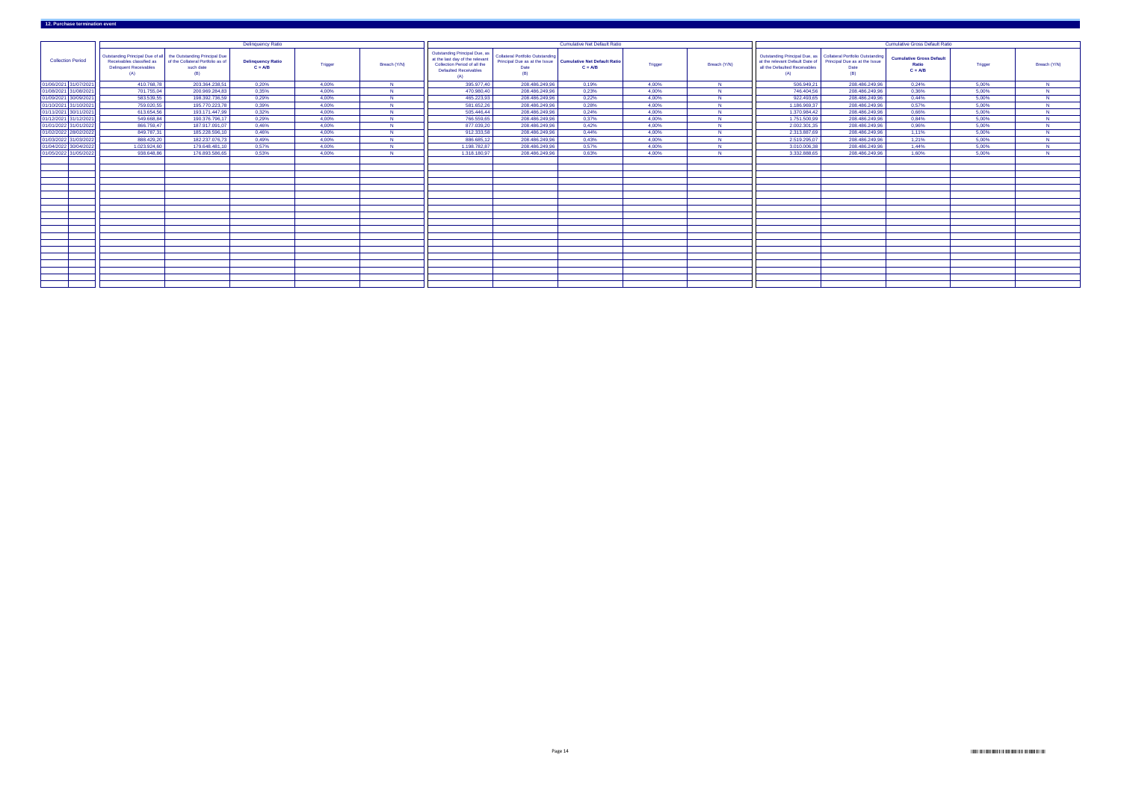|                          |                                                                                                                                     |                                                       | <b>Delinquency Ratio</b>              |                |              |                                                                                                                                                |                                                                                         | <b>Cumulative Net Default Ratio</b>              |                |              |                                                                                                                                             |                                              | <b>Cumulative Gross Default Ratio</b>                 |                |              |
|--------------------------|-------------------------------------------------------------------------------------------------------------------------------------|-------------------------------------------------------|---------------------------------------|----------------|--------------|------------------------------------------------------------------------------------------------------------------------------------------------|-----------------------------------------------------------------------------------------|--------------------------------------------------|----------------|--------------|---------------------------------------------------------------------------------------------------------------------------------------------|----------------------------------------------|-------------------------------------------------------|----------------|--------------|
| <b>Collection Period</b> | Outstanding Principal Due of all the Outstanding Principal Due<br>Receivables classified as<br><b>Delinquent Receivables</b><br>(A) | of the Collateral Portfolio as of<br>such date<br>(B) | <b>Delinquency Ratio</b><br>$C = A/B$ | <b>Trigger</b> | Breach (Y/N) | <b>Outstanding Principal Due, as</b><br>at the last day of the relevant<br>Collection Period of all the<br><b>Defaulted Receivables</b><br>(A) | <b>Collateral Portfolio Outstanding</b><br>Principal Due as at the Issue<br>Date<br>(B) | <b>Cumulative Net Default Ratio</b><br>$C = A/B$ | <b>Trigger</b> | Breach (Y/N) | Outstanding Principal Due, as   Collateral Portfolio Outstanding<br>at the relevant Default Date of<br>all the Defaulted Receivables<br>(A) | Principal Due as at the Issue<br>Date<br>(B) | <b>Cumulative Gross Default</b><br>Ratio<br>$C = A/B$ | <b>Trigger</b> | Breach (Y/N) |
| 01/06/2021 31/07/2021    | 410.768,78                                                                                                                          | 203.364.238,51                                        | 0,20%                                 | 4,00%          | N            | 395.977,40                                                                                                                                     | 208.486.249,96                                                                          | 0,19%                                            | 4,00%          |              | 506.949,21                                                                                                                                  | 208.486.249,96                               | 0,24%                                                 | 5,00%          | $\mathbf N$  |
| 01/08/2021 31/08/2021    | 701.755,04                                                                                                                          | 200.969.284,83                                        | 0,35%                                 | 4,00%          |              | 470.980,40                                                                                                                                     | 208.486.249,96                                                                          | 0,23%                                            | 4,00%          |              | 746.404,56                                                                                                                                  | 208.486.249,96                               | 0,36%                                                 | 5,00%          | <b>N</b>     |
| 01/09/2021 30/09/2021    | 583.539,55                                                                                                                          | 198.392.736,59                                        | 0,29%                                 | 4,00%          |              | 465.223,93                                                                                                                                     | 208.486.249,96                                                                          | 0,22%                                            | 4,00%          |              | 922.493,65                                                                                                                                  | 208.486.249,96                               | 0,44%                                                 | 5,00%          | - N.I        |
| 01/10/2021 31/10/2021    | 759.020,55                                                                                                                          | 195.770.223,78                                        | 0,39%                                 | 4,00%          | - N.I        | 581.652,26                                                                                                                                     | 208.486.249,96                                                                          | 0,28%                                            | 4,00%          |              | 1.186.969,37                                                                                                                                | 208.486.249,96                               | 0,57%                                                 | 5,00%          |              |
| 01/11/2021 30/11/2021    | 613.654,56                                                                                                                          | 193.171.447,99                                        | 0,32%                                 | 4,00%          | -N-          | 505.446,44                                                                                                                                     | 208.486.249,96                                                                          | 0,24%                                            | 4,00%          |              | 1.370.984,42                                                                                                                                | 208.486.249,96                               | 0.66%                                                 | 5,00%          |              |
| 01/12/2021 31/12/2021    | 549.668,84                                                                                                                          | 190.376.796,17                                        | 0,29%                                 | 4,00%          | NI           | 766.559,65                                                                                                                                     | 208.486.249,96                                                                          | 0,37%                                            | 4,00%          |              | 1.751.500,99                                                                                                                                | 208.486.249,96                               | 0.84%                                                 | 5,00%          |              |
| 01/01/2022 31/01/2022    | 866.759,47                                                                                                                          | 187.917.091,07                                        | 0,46%                                 | 4,00%          |              | 877.039,20                                                                                                                                     | 208.486.249,96                                                                          | 0,42%                                            | 4,00%          |              | 2.002.301,35                                                                                                                                | 208.486.249,96                               | 0,96%                                                 | 5,00%          |              |
| 01/02/2022 28/02/2022    | 849.787,31                                                                                                                          | 185.228.596,1                                         | 0,46%                                 | 4,00%          | -NI          | 912.333,58                                                                                                                                     | 208.486.249,96                                                                          | 0,44%                                            | 4,00%          |              | 2.313.887,69                                                                                                                                | 208.486.249,96                               | $1,11\%$                                              | 5,00%          | -ND          |
| 01/03/2022 31/03/2022    | 888.429,20                                                                                                                          | 182.237.076,73                                        | 0,49%                                 | 4,00%          | -NI          | 886.685,12                                                                                                                                     | 208.486.249,96                                                                          | 0,43%                                            | 4,00%          |              | 2.519.295,07                                                                                                                                | 208.486.249,96                               | 1,21%                                                 | 5,00%          | - N.I        |
| 01/04/2022 30/04/2022    | 1.023.924,60                                                                                                                        | 179.648.481,1                                         | 0,57%                                 | 4,00%          |              | 1.198.782,87                                                                                                                                   | 208.486.249,96                                                                          | 0,57%                                            | 4,00%          |              | 3.010.006,38                                                                                                                                | 208.486.249,96                               | 1,44%                                                 | 5,00%          |              |
| 01/05/2022 31/05/2022    | 938.648,86                                                                                                                          | 176.893.586,65                                        | 0,53%                                 | 4,00%          | NI           | 1.318.180,97                                                                                                                                   | 208.486.249,96                                                                          | 0,63%                                            | 4,00%          |              | 3.332.888,65                                                                                                                                | 208.486.249,96                               | 1,60%                                                 | 5,00%          | <b>N</b>     |
|                          |                                                                                                                                     |                                                       |                                       |                |              |                                                                                                                                                |                                                                                         |                                                  |                |              |                                                                                                                                             |                                              |                                                       |                |              |
|                          |                                                                                                                                     |                                                       |                                       |                |              |                                                                                                                                                |                                                                                         |                                                  |                |              |                                                                                                                                             |                                              |                                                       |                |              |
|                          |                                                                                                                                     |                                                       |                                       |                |              |                                                                                                                                                |                                                                                         |                                                  |                |              |                                                                                                                                             |                                              |                                                       |                |              |
|                          |                                                                                                                                     |                                                       |                                       |                |              |                                                                                                                                                |                                                                                         |                                                  |                |              |                                                                                                                                             |                                              |                                                       |                |              |
|                          |                                                                                                                                     |                                                       |                                       |                |              |                                                                                                                                                |                                                                                         |                                                  |                |              |                                                                                                                                             |                                              |                                                       |                |              |
|                          |                                                                                                                                     |                                                       |                                       |                |              |                                                                                                                                                |                                                                                         |                                                  |                |              |                                                                                                                                             |                                              |                                                       |                |              |
|                          |                                                                                                                                     |                                                       |                                       |                |              |                                                                                                                                                |                                                                                         |                                                  |                |              |                                                                                                                                             |                                              |                                                       |                |              |
|                          |                                                                                                                                     |                                                       |                                       |                |              |                                                                                                                                                |                                                                                         |                                                  |                |              |                                                                                                                                             |                                              |                                                       |                |              |
|                          |                                                                                                                                     |                                                       |                                       |                |              |                                                                                                                                                |                                                                                         |                                                  |                |              |                                                                                                                                             |                                              |                                                       |                |              |
|                          |                                                                                                                                     |                                                       |                                       |                |              |                                                                                                                                                |                                                                                         |                                                  |                |              |                                                                                                                                             |                                              |                                                       |                |              |
|                          |                                                                                                                                     |                                                       |                                       |                |              |                                                                                                                                                |                                                                                         |                                                  |                |              |                                                                                                                                             |                                              |                                                       |                |              |
|                          |                                                                                                                                     |                                                       |                                       |                |              |                                                                                                                                                |                                                                                         |                                                  |                |              |                                                                                                                                             |                                              |                                                       |                |              |
|                          |                                                                                                                                     |                                                       |                                       |                |              |                                                                                                                                                |                                                                                         |                                                  |                |              |                                                                                                                                             |                                              |                                                       |                |              |
|                          |                                                                                                                                     |                                                       |                                       |                |              |                                                                                                                                                |                                                                                         |                                                  |                |              |                                                                                                                                             |                                              |                                                       |                |              |
|                          |                                                                                                                                     |                                                       |                                       |                |              |                                                                                                                                                |                                                                                         |                                                  |                |              |                                                                                                                                             |                                              |                                                       |                |              |
|                          |                                                                                                                                     |                                                       |                                       |                |              |                                                                                                                                                |                                                                                         |                                                  |                |              |                                                                                                                                             |                                              |                                                       |                |              |
|                          |                                                                                                                                     |                                                       |                                       |                |              |                                                                                                                                                |                                                                                         |                                                  |                |              |                                                                                                                                             |                                              |                                                       |                |              |
|                          |                                                                                                                                     |                                                       |                                       |                |              |                                                                                                                                                |                                                                                         |                                                  |                |              |                                                                                                                                             |                                              |                                                       |                |              |
|                          |                                                                                                                                     |                                                       |                                       |                |              |                                                                                                                                                |                                                                                         |                                                  |                |              |                                                                                                                                             |                                              |                                                       |                |              |

# **12. Purchase termination event**